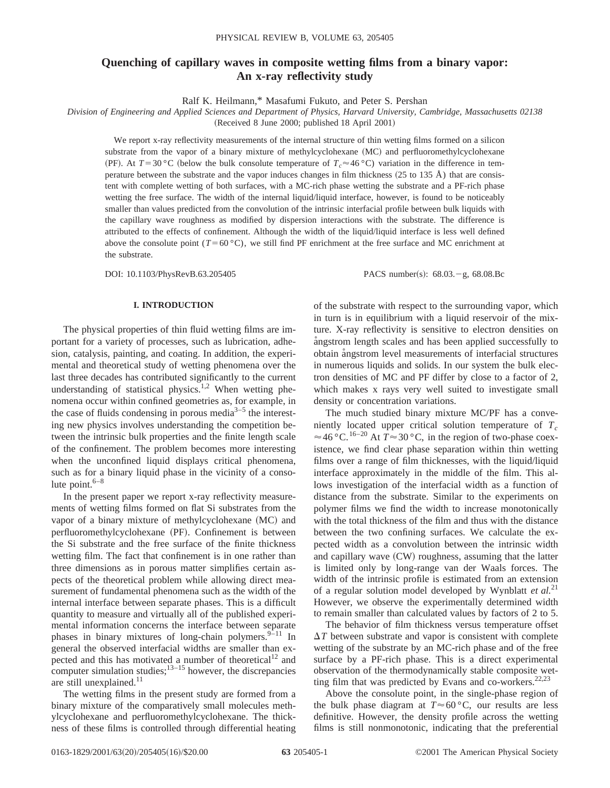# **Quenching of capillary waves in composite wetting films from a binary vapor: An x-ray reflectivity study**

Ralf K. Heilmann,\* Masafumi Fukuto, and Peter S. Pershan

*Division of Engineering and Applied Sciences and Department of Physics, Harvard University, Cambridge, Massachusetts 02138*  $(Received 8 June 2000; published 18 April 2001)$ 

We report x-ray reflectivity measurements of the internal structure of thin wetting films formed on a silicon substrate from the vapor of a binary mixture of methylcyclohexane (MC) and perfluoromethylcyclohexane (PF). At  $T=30$  °C (below the bulk consolute temperature of  $T_c \approx 46$  °C) variation in the difference in temperature between the substrate and the vapor induces changes in film thickness  $(25 \text{ to } 135 \text{ Å})$  that are consistent with complete wetting of both surfaces, with a MC-rich phase wetting the substrate and a PF-rich phase wetting the free surface. The width of the internal liquid/liquid interface, however, is found to be noticeably smaller than values predicted from the convolution of the intrinsic interfacial profile between bulk liquids with the capillary wave roughness as modified by dispersion interactions with the substrate. The difference is attributed to the effects of confinement. Although the width of the liquid/liquid interface is less well defined above the consolute point  $(T=60 \degree C)$ , we still find PF enrichment at the free surface and MC enrichment at the substrate.

DOI: 10.1103/PhysRevB.63.205405 PACS number(s): 68.03.-g, 68.08.Bc

## **I. INTRODUCTION**

The physical properties of thin fluid wetting films are important for a variety of processes, such as lubrication, adhesion, catalysis, painting, and coating. In addition, the experimental and theoretical study of wetting phenomena over the last three decades has contributed significantly to the current understanding of statistical physics.<sup>1,2</sup> When wetting phenomena occur within confined geometries as, for example, in the case of fluids condensing in porous media $3-5$  the interesting new physics involves understanding the competition between the intrinsic bulk properties and the finite length scale of the confinement. The problem becomes more interesting when the unconfined liquid displays critical phenomena, such as for a binary liquid phase in the vicinity of a consolute point. $6-8$ 

In the present paper we report x-ray reflectivity measurements of wetting films formed on flat Si substrates from the vapor of a binary mixture of methylcyclohexane  $(MC)$  and perfluoromethylcyclohexane (PF). Confinement is between the Si substrate and the free surface of the finite thickness wetting film. The fact that confinement is in one rather than three dimensions as in porous matter simplifies certain aspects of the theoretical problem while allowing direct measurement of fundamental phenomena such as the width of the internal interface between separate phases. This is a difficult quantity to measure and virtually all of the published experimental information concerns the interface between separate phases in binary mixtures of long-chain polymers. $9-11$  In general the observed interfacial widths are smaller than expected and this has motivated a number of theoretical<sup>12</sup> and computer simulation studies; $1^{3-15}$  however, the discrepancies are still unexplained.<sup>11</sup>

The wetting films in the present study are formed from a binary mixture of the comparatively small molecules methylcyclohexane and perfluoromethylcyclohexane. The thickness of these films is controlled through differential heating of the substrate with respect to the surrounding vapor, which in turn is in equilibrium with a liquid reservoir of the mixture. X-ray reflectivity is sensitive to electron densities on angstrom length scales and has been applied successfully to obtain angstrom level measurements of interfacial structures in numerous liquids and solids. In our system the bulk electron densities of MC and PF differ by close to a factor of 2, which makes x rays very well suited to investigate small density or concentration variations.

The much studied binary mixture MC/PF has a conveniently located upper critical solution temperature of  $T_c$  $\approx$  46 °C.<sup>16–20</sup> At  $T \approx 30$  °C, in the region of two-phase coexistence, we find clear phase separation within thin wetting films over a range of film thicknesses, with the liquid/liquid interface approximately in the middle of the film. This allows investigation of the interfacial width as a function of distance from the substrate. Similar to the experiments on polymer films we find the width to increase monotonically with the total thickness of the film and thus with the distance between the two confining surfaces. We calculate the expected width as a convolution between the intrinsic width and capillary wave  $(CW)$  roughness, assuming that the latter is limited only by long-range van der Waals forces. The width of the intrinsic profile is estimated from an extension of a regular solution model developed by Wynblatt *et al.*<sup>21</sup> However, we observe the experimentally determined width to remain smaller than calculated values by factors of 2 to 5.

The behavior of film thickness versus temperature offset  $\Delta T$  between substrate and vapor is consistent with complete wetting of the substrate by an MC-rich phase and of the free surface by a PF-rich phase. This is a direct experimental observation of the thermodynamically stable composite wetting film that was predicted by Evans and co-workers.<sup>22,23</sup>

Above the consolute point, in the single-phase region of the bulk phase diagram at  $T \approx 60 \degree C$ , our results are less definitive. However, the density profile across the wetting films is still nonmonotonic, indicating that the preferential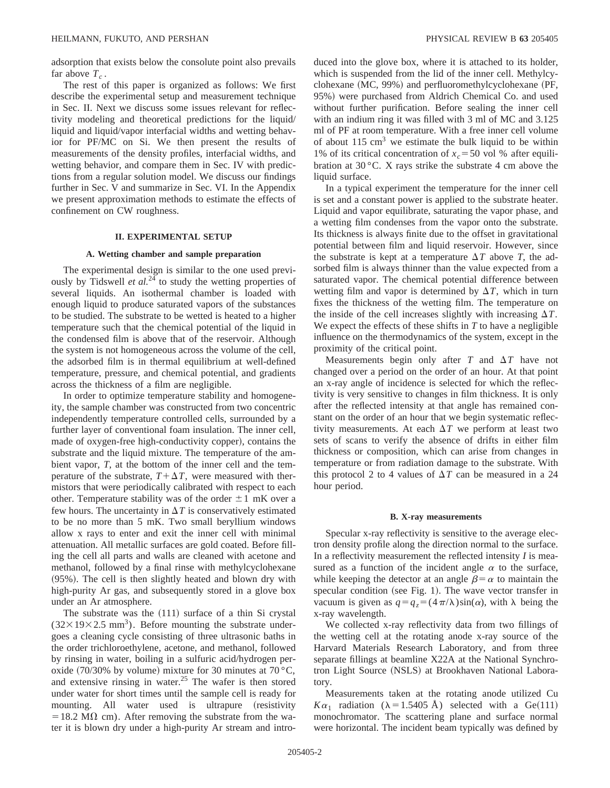adsorption that exists below the consolute point also prevails far above  $T_c$ .

The rest of this paper is organized as follows: We first describe the experimental setup and measurement technique in Sec. II. Next we discuss some issues relevant for reflectivity modeling and theoretical predictions for the liquid/ liquid and liquid/vapor interfacial widths and wetting behavior for PF/MC on Si. We then present the results of measurements of the density profiles, interfacial widths, and wetting behavior, and compare them in Sec. IV with predictions from a regular solution model. We discuss our findings further in Sec. V and summarize in Sec. VI. In the Appendix we present approximation methods to estimate the effects of confinement on CW roughness.

## **II. EXPERIMENTAL SETUP**

#### **A. Wetting chamber and sample preparation**

The experimental design is similar to the one used previously by Tidswell *et al.*<sup>24</sup> to study the wetting properties of several liquids. An isothermal chamber is loaded with enough liquid to produce saturated vapors of the substances to be studied. The substrate to be wetted is heated to a higher temperature such that the chemical potential of the liquid in the condensed film is above that of the reservoir. Although the system is not homogeneous across the volume of the cell, the adsorbed film is in thermal equilibrium at well-defined temperature, pressure, and chemical potential, and gradients across the thickness of a film are negligible.

In order to optimize temperature stability and homogeneity, the sample chamber was constructed from two concentric independently temperature controlled cells, surrounded by a further layer of conventional foam insulation. The inner cell, made of oxygen-free high-conductivity copper), contains the substrate and the liquid mixture. The temperature of the ambient vapor, *T*, at the bottom of the inner cell and the temperature of the substrate,  $T + \Delta T$ , were measured with thermistors that were periodically calibrated with respect to each other. Temperature stability was of the order  $\pm 1$  mK over a few hours. The uncertainty in  $\Delta T$  is conservatively estimated to be no more than 5 mK. Two small beryllium windows allow x rays to enter and exit the inner cell with minimal attenuation. All metallic surfaces are gold coated. Before filling the cell all parts and walls are cleaned with acetone and methanol, followed by a final rinse with methylcyclohexane  $(95%)$ . The cell is then slightly heated and blown dry with high-purity Ar gas, and subsequently stored in a glove box under an Ar atmosphere.

The substrate was the  $(111)$  surface of a thin Si crystal  $(32\times19\times2.5$  mm<sup>3</sup>). Before mounting the substrate undergoes a cleaning cycle consisting of three ultrasonic baths in the order trichloroethylene, acetone, and methanol, followed by rinsing in water, boiling in a sulfuric acid/hydrogen peroxide (70/30% by volume) mixture for 30 minutes at 70 °C, and extensive rinsing in water.<sup>25</sup> The wafer is then stored under water for short times until the sample cell is ready for mounting. All water used is ultrapure (resistivity  $=18.2$  M $\Omega$  cm). After removing the substrate from the water it is blown dry under a high-purity Ar stream and introduced into the glove box, where it is attached to its holder, which is suspended from the lid of the inner cell. Methylcyclohexane  $(MC, 99%)$  and perfluoromethylcyclohexane  $(PF,$ 95%) were purchased from Aldrich Chemical Co. and used without further purification. Before sealing the inner cell with an indium ring it was filled with 3 ml of MC and 3.125 ml of PF at room temperature. With a free inner cell volume of about  $115 \text{ cm}^3$  we estimate the bulk liquid to be within 1% of its critical concentration of  $x_c = 50$  vol % after equilibration at 30 °C. X rays strike the substrate 4 cm above the liquid surface.

In a typical experiment the temperature for the inner cell is set and a constant power is applied to the substrate heater. Liquid and vapor equilibrate, saturating the vapor phase, and a wetting film condenses from the vapor onto the substrate. Its thickness is always finite due to the offset in gravitational potential between film and liquid reservoir. However, since the substrate is kept at a temperature  $\Delta T$  above *T*, the adsorbed film is always thinner than the value expected from a saturated vapor. The chemical potential difference between wetting film and vapor is determined by  $\Delta T$ , which in turn fixes the thickness of the wetting film. The temperature on the inside of the cell increases slightly with increasing  $\Delta T$ . We expect the effects of these shifts in *T* to have a negligible influence on the thermodynamics of the system, except in the proximity of the critical point.

Measurements begin only after  $T$  and  $\Delta T$  have not changed over a period on the order of an hour. At that point an x-ray angle of incidence is selected for which the reflectivity is very sensitive to changes in film thickness. It is only after the reflected intensity at that angle has remained constant on the order of an hour that we begin systematic reflectivity measurements. At each  $\Delta T$  we perform at least two sets of scans to verify the absence of drifts in either film thickness or composition, which can arise from changes in temperature or from radiation damage to the substrate. With this protocol 2 to 4 values of  $\Delta T$  can be measured in a 24 hour period.

#### **B. X-ray measurements**

Specular x-ray reflectivity is sensitive to the average electron density profile along the direction normal to the surface. In a reflectivity measurement the reflected intensity *I* is measured as a function of the incident angle  $\alpha$  to the surface, while keeping the detector at an angle  $\beta = \alpha$  to maintain the specular condition (see Fig. 1). The wave vector transfer in vacuum is given as  $q = q_z = (4\pi/\lambda)\sin(\alpha)$ , with  $\lambda$  being the x-ray wavelength.

We collected x-ray reflectivity data from two fillings of the wetting cell at the rotating anode x-ray source of the Harvard Materials Research Laboratory, and from three separate fillings at beamline X22A at the National Synchrotron Light Source (NSLS) at Brookhaven National Laboratory.

Measurements taken at the rotating anode utilized Cu  $K\alpha_1$  radiation ( $\lambda = 1.5405$  Å) selected with a Ge(111) monochromator. The scattering plane and surface normal were horizontal. The incident beam typically was defined by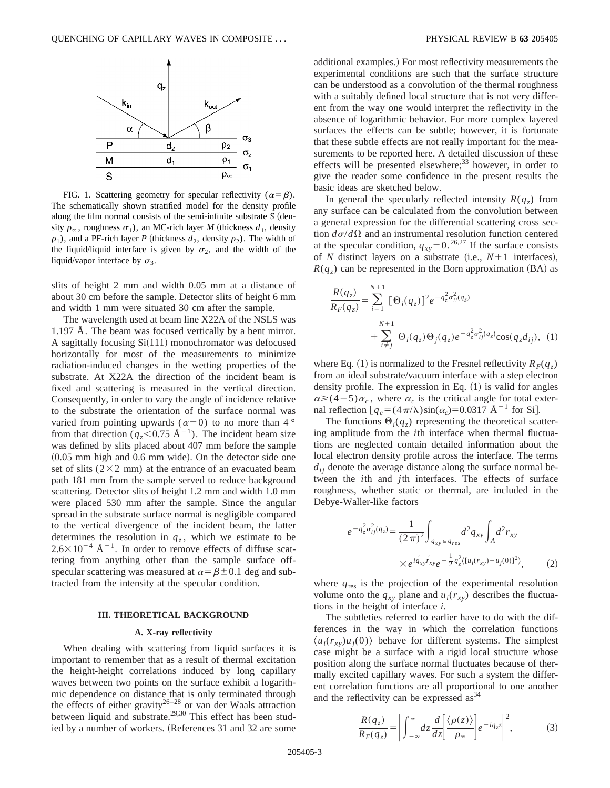

FIG. 1. Scattering geometry for specular reflectivity ( $\alpha = \beta$ ). The schematically shown stratified model for the density profile along the film normal consists of the semi-infinite substrate  $S$  (density  $\rho_{\infty}$ , roughness  $\sigma_1$ ), an MC-rich layer *M* (thickness  $d_1$ , density  $\rho_1$ ), and a PF-rich layer *P* (thickness  $d_2$ , density  $\rho_2$ ). The width of the liquid/liquid interface is given by  $\sigma_2$ , and the width of the liquid/vapor interface by  $\sigma_3$ .

slits of height 2 mm and width 0.05 mm at a distance of about 30 cm before the sample. Detector slits of height 6 mm and width 1 mm were situated 30 cm after the sample.

The wavelength used at beam line X22A of the NSLS was 1.197 Å. The beam was focused vertically by a bent mirror. A sagittally focusing  $Si(111)$  monochromator was defocused horizontally for most of the measurements to minimize radiation-induced changes in the wetting properties of the substrate. At X22A the direction of the incident beam is fixed and scattering is measured in the vertical direction. Consequently, in order to vary the angle of incidence relative to the substrate the orientation of the surface normal was varied from pointing upwards ( $\alpha=0$ ) to no more than 4 ° from that direction ( $q_z$ <0.75 Å<sup>-1</sup>). The incident beam size was defined by slits placed about 407 mm before the sample  $(0.05$  mm high and  $0.6$  mm wide). On the detector side one set of slits  $(2\times2$  mm) at the entrance of an evacuated beam path 181 mm from the sample served to reduce background scattering. Detector slits of height 1.2 mm and width 1.0 mm were placed 530 mm after the sample. Since the angular spread in the substrate surface normal is negligible compared to the vertical divergence of the incident beam, the latter determines the resolution in  $q_z$ , which we estimate to be  $2.6\times10^{-4}$  Å<sup>-1</sup>. In order to remove effects of diffuse scattering from anything other than the sample surface offspecular scattering was measured at  $\alpha = \beta \pm 0.1$  deg and subtracted from the intensity at the specular condition.

#### **III. THEORETICAL BACKGROUND**

#### **A. X-ray reflectivity**

When dealing with scattering from liquid surfaces it is important to remember that as a result of thermal excitation the height-height correlations induced by long capillary waves between two points on the surface exhibit a logarithmic dependence on distance that is only terminated through the effects of either gravity $26-28$  or van der Waals attraction between liquid and substrate.<sup>29,30</sup> This effect has been studied by a number of workers. (References 31 and 32 are some additional examples.) For most reflectivity measurements the experimental conditions are such that the surface structure can be understood as a convolution of the thermal roughness with a suitably defined local structure that is not very different from the way one would interpret the reflectivity in the absence of logarithmic behavior. For more complex layered surfaces the effects can be subtle; however, it is fortunate that these subtle effects are not really important for the measurements to be reported here. A detailed discussion of these effects will be presented elsewhere; $33$  however, in order to give the reader some confidence in the present results the basic ideas are sketched below.

In general the specularly reflected intensity  $R(q<sub>z</sub>)$  from any surface can be calculated from the convolution between a general expression for the differential scattering cross section  $d\sigma/d\Omega$  and an instrumental resolution function centered at the specular condition,  $q_{xy} = 0.26,27$  If the surface consists of *N* distinct layers on a substrate (i.e.,  $N+1$  interfaces),  $R(q_z)$  can be represented in the Born approximation (BA) as

$$
\frac{R(q_z)}{R_F(q_z)} = \sum_{i=1}^{N+1} [\Theta_i(q_z)]^2 e^{-q_z^2 \sigma_{ii}^2(q_z)} + \sum_{i \neq j}^{N+1} \Theta_i(q_z) \Theta_j(q_z) e^{-q_z^2 \sigma_{ij}^2(q_z)} \cos(q_z d_{ij}), (1)
$$

where Eq. (1) is normalized to the Fresnel reflectivity  $R_F(q_z)$ from an ideal substrate/vacuum interface with a step electron density profile. The expression in Eq.  $(1)$  is valid for angles  $\alpha \geq (4-5)\alpha_c$ , where  $\alpha_c$  is the critical angle for total external reflection  $[q_c = (4\pi/\lambda)\sin(\alpha_c) = 0.0317 \text{ Å}^{-1}$  for Si.

The functions  $\Theta_i(q_z)$  representing the theoretical scattering amplitude from the *i*th interface when thermal fluctuations are neglected contain detailed information about the local electron density profile across the interface. The terms  $d_{ii}$  denote the average distance along the surface normal between the *i*th and *j*th interfaces. The effects of surface roughness, whether static or thermal, are included in the Debye-Waller-like factors

$$
e^{-q_z^2 \sigma_{ij}^2(q_z)} = \frac{1}{(2\pi)^2} \int_{q_{xy} \in q_{res}} d^2 q_{xy} \int_A d^2 r_{xy}
$$

$$
\times e^{i\overset{\circ}{q}_{xy}r_{xy}} e^{-\frac{1}{2}q_z^2 \langle [u_i(r_{xy}) - u_j(0)]^2 \rangle}, \tag{2}
$$

where  $q_{\text{res}}$  is the projection of the experimental resolution volume onto the  $q_{xy}$  plane and  $u_i(r_{xy})$  describes the fluctuations in the height of interface *i*.

The subtleties referred to earlier have to do with the differences in the way in which the correlation functions  $\langle u_i(r_{xy})u_i(0)\rangle$  behave for different systems. The simplest case might be a surface with a rigid local structure whose position along the surface normal fluctuates because of thermally excited capillary waves. For such a system the different correlation functions are all proportional to one another and the reflectivity can be expressed  $\text{as}^{34}$ 

$$
\frac{R(q_z)}{R_F(q_z)} = \left| \int_{-\infty}^{\infty} dz \frac{d}{dz} \left[ \frac{\langle \rho(z) \rangle}{\rho_{\infty}} \right] e^{-iq_z z} \right|^2, \tag{3}
$$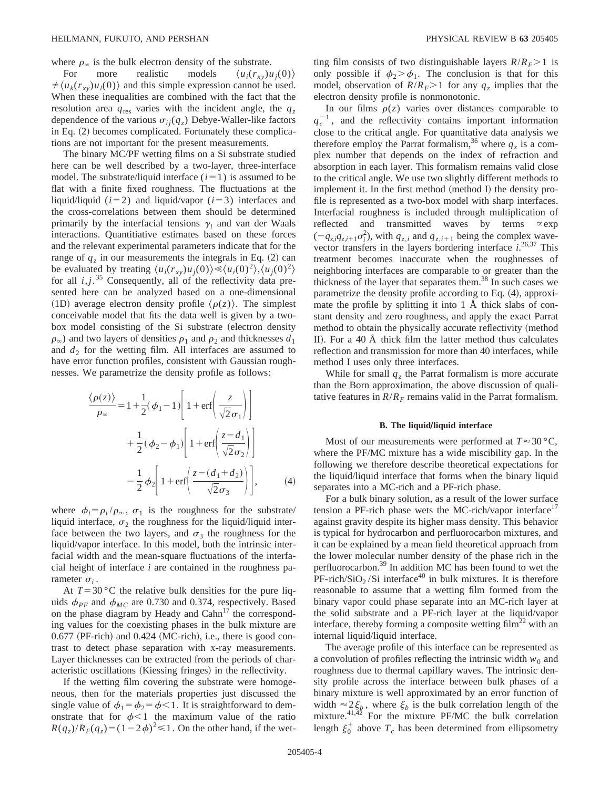where  $\rho_{\infty}$  is the bulk electron density of the substrate.

For more realistic models  $\langle u_i(r_{xy})u_i(0)\rangle$  $\neq \langle u_k(r_{xy})u_l(0)\rangle$  and this simple expression cannot be used. When these inequalities are combined with the fact that the resolution area  $q_{res}$  varies with the incident angle, the  $q_z$ dependence of the various  $\sigma_{ij}(q_z)$  Debye-Waller-like factors in Eq.  $(2)$  becomes complicated. Fortunately these complications are not important for the present measurements.

The binary MC/PF wetting films on a Si substrate studied here can be well described by a two-layer, three-interface model. The substrate/liquid interface  $(i=1)$  is assumed to be flat with a finite fixed roughness. The fluctuations at the liquid/liquid  $(i=2)$  and liquid/vapor  $(i=3)$  interfaces and the cross-correlations between them should be determined primarily by the interfacial tensions  $\gamma_i$  and van der Waals interactions. Quantitiative estimates based on these forces and the relevant experimental parameters indicate that for the range of  $q_z$  in our measurements the integrals in Eq. (2) can be evaluated by treating  $\langle u_i(r_{xy})u_j(0)\rangle \ll \langle u_i(0)^2 \rangle, \langle u_j(0)^2 \rangle$ for all *i*, *j*.<sup>35</sup> Consequently, all of the reflectivity data presented here can be analyzed based on a one-dimensional (1D) average electron density profile  $\langle \rho(z) \rangle$ . The simplest conceivable model that fits the data well is given by a twobox model consisting of the Si substrate (electron density  $\rho_{\infty}$ ) and two layers of densities  $\rho_1$  and  $\rho_2$  and thicknesses  $d_1$ and  $d_2$  for the wetting film. All interfaces are assumed to have error function profiles, consistent with Gaussian roughnesses. We parametrize the density profile as follows:

$$
\frac{\langle \rho(z) \rangle}{\rho_{\infty}} = 1 + \frac{1}{2}(\phi_1 - 1) \left[ 1 + \text{erf} \left( \frac{z}{\sqrt{2} \sigma_1} \right) \right]
$$

$$
+ \frac{1}{2}(\phi_2 - \phi_1) \left[ 1 + \text{erf} \left( \frac{z - d_1}{\sqrt{2} \sigma_2} \right) \right]
$$

$$
- \frac{1}{2} \phi_2 \left[ 1 + \text{erf} \left( \frac{z - (d_1 + d_2)}{\sqrt{2} \sigma_3} \right) \right], \tag{4}
$$

where  $\phi_i = \rho_i / \rho_{\infty}$ ,  $\sigma_1$  is the roughness for the substrate/ liquid interface,  $\sigma_2$  the roughness for the liquid/liquid interface between the two layers, and  $\sigma_3$  the roughness for the liquid/vapor interface. In this model, both the intrinsic interfacial width and the mean-square fluctuations of the interfacial height of interface *i* are contained in the roughness parameter  $\sigma_i$ .

At  $T=30$  °C the relative bulk densities for the pure liquids  $\phi_{PF}$  and  $\phi_{MC}$  are 0.730 and 0.374, respectively. Based on the phase diagram by Heady and  $Cahn<sup>17</sup>$  the corresponding values for the coexisting phases in the bulk mixture are  $0.677$  (PF-rich) and  $0.424$  (MC-rich), i.e., there is good contrast to detect phase separation with x-ray measurements. Layer thicknesses can be extracted from the periods of characteristic oscillations (Kiessing fringes) in the reflectivity.

If the wetting film covering the substrate were homogeneous, then for the materials properties just discussed the single value of  $\phi_1 = \phi_2 = \phi \lt 1$ . It is straightforward to demonstrate that for  $\phi < 1$  the maximum value of the ratio  $R(q_z)/R_F(q_z)=(1-2\phi)^2\leq 1$ . On the other hand, if the wetting film consists of two distinguishable layers  $R/R<sub>F</sub> > 1$  is only possible if  $\phi_2 > \phi_1$ . The conclusion is that for this model, observation of  $R/R_F > 1$  for any  $q_z$  implies that the electron density profile is nonmonotonic.

In our films  $\rho(z)$  varies over distances comparable to  $q_c^{-1}$ , and the reflectivity contains important information close to the critical angle. For quantitative data analysis we therefore employ the Parrat formalism,<sup>36</sup> where  $q_z$  is a complex number that depends on the index of refraction and absorption in each layer. This formalism remains valid close to the critical angle. We use two slightly different methods to implement it. In the first method (method I) the density profile is represented as a two-box model with sharp interfaces. Interfacial roughness is included through multiplication of reflected and transmitted waves by terms  $\propto$ exp  $(-q_{z,i}q_{z,i+1}\sigma_i^2)$ , with  $q_{z,i}$  and  $q_{z,i+1}$  being the complex wavevector transfers in the layers bordering interface  $i$ <sup>26,37</sup> This treatment becomes inaccurate when the roughnesses of neighboring interfaces are comparable to or greater than the thickness of the layer that separates them. $^{38}$  In such cases we parametrize the density profile according to Eq.  $(4)$ , approximate the profile by splitting it into 1 Å thick slabs of constant density and zero roughness, and apply the exact Parrat method to obtain the physically accurate reflectivity (method II). For a 40  $\AA$  thick film the latter method thus calculates reflection and transmission for more than 40 interfaces, while method I uses only three interfaces.

While for small  $q<sub>z</sub>$  the Parrat formalism is more accurate than the Born approximation, the above discussion of qualitative features in  $R/R<sub>F</sub>$  remains valid in the Parrat formalism.

## **B.** The liquid/liquid interface

Most of our measurements were performed at  $T \approx 30$  °C, where the PF/MC mixture has a wide miscibility gap. In the following we therefore describe theoretical expectations for the liquid/liquid interface that forms when the binary liquid separates into a MC-rich and a PF-rich phase.

For a bulk binary solution, as a result of the lower surface tension a PF-rich phase wets the MC-rich/vapor interface $17$ against gravity despite its higher mass density. This behavior is typical for hydrocarbon and perfluorocarbon mixtures, and it can be explained by a mean field theoretical approach from the lower molecular number density of the phase rich in the perfluorocarbon.39 In addition MC has been found to wet the  $PF-rich/SiO<sub>2</sub>/Si interface<sup>40</sup>$  in bulk mixtures. It is therefore reasonable to assume that a wetting film formed from the binary vapor could phase separate into an MC-rich layer at the solid substrate and a PF-rich layer at the liquid/vapor interface, thereby forming a composite wetting  $film<sup>22</sup>$  with an internal liquid/liquid interface.

The average profile of this interface can be represented as a convolution of profiles reflecting the intrinsic width  $w_0$  and roughness due to thermal capillary waves. The intrinsic density profile across the interface between bulk phases of a binary mixture is well approximated by an error function of width  $\approx 2\xi_b$ , where  $\xi_b$  is the bulk correlation length of the mixture. $41,42$  For the mixture PF/MC the bulk correlation length  $\xi_0^+$  above  $T_c$  has been determined from ellipsometry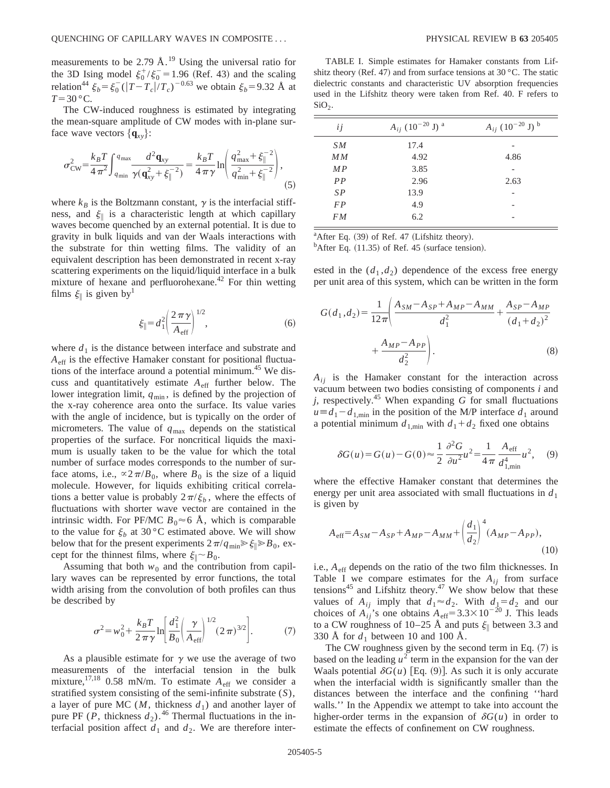measurements to be 2.79  $\AA$ .<sup>19</sup> Using the universal ratio for the 3D Ising model  $\xi_0^+/\xi_0^-$  = 1.96 (Ref. 43) and the scaling relation<sup>44</sup>  $\xi_b = \xi_0^- (|T - T_c|/T_c)^{-0.63}$  we obtain  $\xi_b = 9.32$  Å at  $T=30$  °C.

The CW-induced roughness is estimated by integrating the mean-square amplitude of CW modes with in-plane surface wave vectors  $\{q_{xy}\}$ :

$$
\sigma_{\rm CW}^2 = \frac{k_B T}{4 \pi^2} \int_{q_{\rm min}}^{q_{\rm max}} \frac{d^2 \mathbf{q}_{xy}}{\gamma(\mathbf{q}_{xy}^2 + \xi_{\parallel}^{-2})} = \frac{k_B T}{4 \pi \gamma} \ln \left( \frac{q_{\rm max}^2 + \xi_{\parallel}^{-2}}{q_{\rm min}^2 + \xi_{\parallel}^{-2}} \right),\tag{5}
$$

where  $k_B$  is the Boltzmann constant,  $\gamma$  is the interfacial stiffness, and  $\xi_{\parallel}$  is a characteristic length at which capillary waves become quenched by an external potential. It is due to gravity in bulk liquids and van der Waals interactions with the substrate for thin wetting films. The validity of an equivalent description has been demonstrated in recent x-ray scattering experiments on the liquid/liquid interface in a bulk mixture of hexane and perfluorohexane.<sup>42</sup> For thin wetting films  $\xi_{\parallel}$  is given by<sup>1</sup>

$$
\xi_{\parallel} = d_1^2 \left( \frac{2\,\pi\,\gamma}{A_{\rm eff}} \right)^{1/2},\tag{6}
$$

where  $d_1$  is the distance between interface and substrate and *A*eff is the effective Hamaker constant for positional fluctuations of the interface around a potential minimum.<sup>45</sup> We discuss and quantitatively estimate *A*eff further below. The lower integration limit,  $q_{min}$ , is defined by the projection of the x-ray coherence area onto the surface. Its value varies with the angle of incidence, but is typically on the order of micrometers. The value of  $q_{\text{max}}$  depends on the statistical properties of the surface. For noncritical liquids the maximum is usually taken to be the value for which the total number of surface modes corresponds to the number of surface atoms, i.e.,  $\alpha 2\pi/B_0$ , where  $B_0$  is the size of a liquid molecule. However, for liquids exhibiting critical correlations a better value is probably  $2\pi/\xi_b$ , where the effects of fluctuations with shorter wave vector are contained in the intrinsic width. For PF/MC  $B_0 \approx 6$  Å, which is comparable to the value for  $\xi_b$  at 30 °C estimated above. We will show below that for the present experiments  $2\pi/q_{\text{min}} \geq \xi \geq B_0$ , except for the thinnest films, where  $\xi_{\parallel} \sim B_0$ .

Assuming that both  $w_0$  and the contribution from capillary waves can be represented by error functions, the total width arising from the convolution of both profiles can thus be described by

$$
\sigma^{2} = w_{0}^{2} + \frac{k_{B}T}{2\pi\gamma} \ln \left[ \frac{d_{1}^{2}}{B_{0}} \left( \frac{\gamma}{A_{\text{eff}}} \right)^{1/2} (2\pi)^{3/2} \right].
$$
 (7)

As a plausible estimate for  $\gamma$  we use the average of two measurements of the interfacial tension in the bulk mixture,<sup>17,18</sup> 0.58 mN/m. To estimate  $A_{\text{eff}}$  we consider a stratified system consisting of the semi-infinite substrate (*S*), a layer of pure MC  $(M,$  thickness  $d_1$ ) and another layer of pure PF (*P*, thickness  $d_2$ ).<sup>46</sup> Thermal fluctuations in the interfacial position affect  $d_1$  and  $d_2$ . We are therefore inter-

TABLE I. Simple estimates for Hamaker constants from Lifshitz theory (Ref. 47) and from surface tensions at  $30^{\circ}$ C. The static dielectric constants and characteristic UV absorption frequencies used in the Lifshitz theory were taken from Ref. 40. F refers to  $SiO<sub>2</sub>$ .

| ij        | $A_{ij}$ (10 <sup>-20</sup> J) <sup>a</sup> | $A_{ij}$ (10 <sup>-20</sup> J) <sup>b</sup> |
|-----------|---------------------------------------------|---------------------------------------------|
| SM        | 17.4                                        |                                             |
| MM        | 4.92                                        | 4.86                                        |
| MP        | 3.85                                        |                                             |
| PP        | 2.96                                        | 2.63                                        |
| SP        | 13.9                                        |                                             |
| <b>FP</b> | 4.9                                         |                                             |
| FM        | 6.2                                         |                                             |
|           |                                             |                                             |

<sup>a</sup>After Eq. (39) of Ref. 47 (Lifshitz theory).

 $<sup>b</sup>$ After Eq. (11.35) of Ref. 45 (surface tension).</sup>

ested in the  $(d_1, d_2)$  dependence of the excess free energy per unit area of this system, which can be written in the form

$$
G(d_1, d_2) = \frac{1}{12\pi} \left( \frac{A_{SM} - A_{SP} + A_{MP} - A_{MM}}{d_1^2} + \frac{A_{SP} - A_{MP}}{(d_1 + d_2)^2} + \frac{A_{MP} - A_{PP}}{d_2^2} \right).
$$
 (8)

 $A_{ij}$  is the Hamaker constant for the interaction across vacuum between two bodies consisting of components *i* and  $j$ , respectively.<sup>45</sup> When expanding  $G$  for small fluctuations  $u \equiv d_1 - d_{1,\text{min}}$  in the position of the M/P interface  $d_1$  around a potential minimum  $d_{1,\text{min}}$  with  $d_1 + d_2$  fixed one obtains

$$
\delta G(u) = G(u) - G(0) \approx \frac{1}{2} \frac{\partial^2 G}{\partial u^2} u^2 = \frac{1}{4\pi} \frac{A_{\text{eff}}}{d_{1,\text{min}}^4} u^2, \quad (9)
$$

where the effective Hamaker constant that determines the energy per unit area associated with small fluctuations in  $d_1$ is given by

$$
A_{\text{eff}} = A_{SM} - A_{SP} + A_{MP} - A_{MM} + \left(\frac{d_1}{d_2}\right)^4 (A_{MP} - A_{PP}),
$$
\n(10)

i.e.,  $A_{\text{eff}}$  depends on the ratio of the two film thicknesses. In Table I we compare estimates for the  $A_{ij}$  from surface tensions<sup>45</sup> and Lifshitz theory.<sup>47</sup> We show below that these values of  $A_{ij}$  imply that  $d_1 \approx d_2$ . With  $d_1 = d_2$  and our choices of  $A_{ij}$ 's one obtains  $A_{\text{eff}} = 3.3 \times 10^{-20}$  J. This leads to a CW roughness of 10–25 Å and puts  $\xi_{\parallel}$  between 3.3 and 330 Å for  $d_1$  between 10 and 100 Å.

The CW roughness given by the second term in Eq.  $(7)$  is based on the leading  $u^2$  term in the expansion for the van der Waals potential  $\delta G(u)$  [Eq. (9)]. As such it is only accurate when the interfacial width is significantly smaller than the distances between the interface and the confining ''hard walls.'' In the Appendix we attempt to take into account the higher-order terms in the expansion of  $\delta G(u)$  in order to estimate the effects of confinement on CW roughness.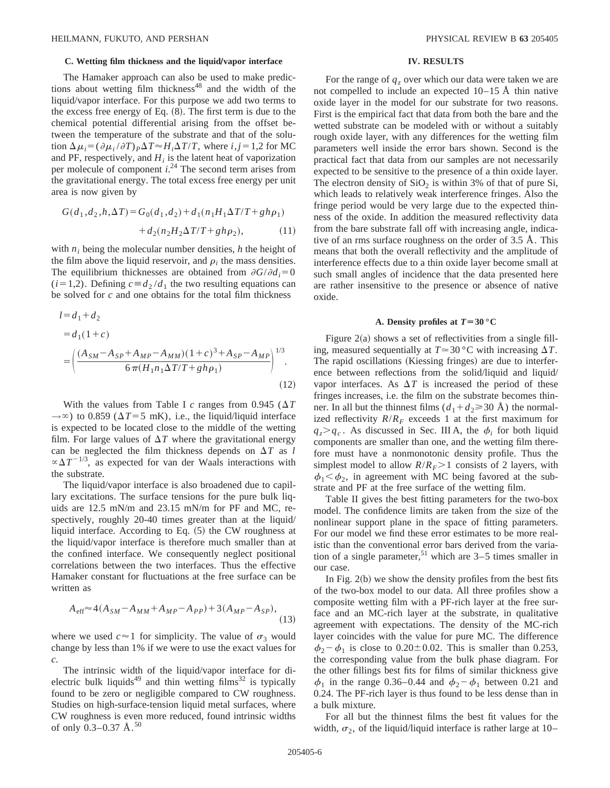## **C. Wetting film thickness and the liquid/vapor interface**

The Hamaker approach can also be used to make predictions about wetting film thickness<sup>48</sup> and the width of the liquid/vapor interface. For this purpose we add two terms to the excess free energy of Eq.  $(8)$ . The first term is due to the chemical potential differential arising from the offset between the temperature of the substrate and that of the solution  $\Delta \mu_i = (\partial \mu_i / \partial T) P \Delta T \approx H_i \Delta T / T$ , where *i*, *j* = 1,2 for MC and PF, respectively, and  $H_i$  is the latent heat of vaporization per molecule of component *i*. <sup>24</sup> The second term arises from the gravitational energy. The total excess free energy per unit area is now given by

$$
G(d_1, d_2, h, \Delta T) = G_0(d_1, d_2) + d_1(n_1H_1\Delta T/T + gh\rho_1) + d_2(n_2H_2\Delta T/T + gh\rho_2),
$$
 (11)

with *n<sub>i</sub>* being the molecular number densities, *h* the height of the film above the liquid reservoir, and  $\rho_i$  the mass densities. The equilibrium thicknesses are obtained from  $\partial G/\partial d_i = 0$  $(i=1,2)$ . Defining  $c \equiv d_2 / d_1$  the two resulting equations can be solved for *c* and one obtains for the total film thickness

$$
l = d_1 + d_2
$$
  
=  $d_1(1 + c)$   
=  $\left(\frac{(A_{SM} - A_{SP} + A_{MP} - A_{MM})(1 + c)^3 + A_{SP} - A_{MP}}{6\pi (H_1 n_1 \Delta T/T + gh\rho_1)}\right)^{1/3}$ . (12)

With the values from Table I *c* ranges from 0.945 ( $\Delta T$  $\rightarrow \infty$ ) to 0.859 ( $\Delta T = 5$  mK), i.e., the liquid/liquid interface is expected to be located close to the middle of the wetting film. For large values of  $\Delta T$  where the gravitational energy can be neglected the film thickness depends on  $\Delta T$  as *l*  $\propto \Delta T^{-1/3}$ , as expected for van der Waals interactions with the substrate.

The liquid/vapor interface is also broadened due to capillary excitations. The surface tensions for the pure bulk liquids are 12.5 mN/m and 23.15 mN/m for PF and MC, respectively, roughly 20-40 times greater than at the liquid/ liquid interface. According to Eq.  $(5)$  the CW roughness at the liquid/vapor interface is therefore much smaller than at the confined interface. We consequently neglect positional correlations between the two interfaces. Thus the effective Hamaker constant for fluctuations at the free surface can be written as

$$
A_{\text{eff}} \approx 4(A_{SM} - A_{MM} + A_{MP} - A_{PP}) + 3(A_{MP} - A_{SP}),
$$
\n(13)

where we used  $c \approx 1$  for simplicity. The value of  $\sigma_3$  would change by less than 1% if we were to use the exact values for *c*.

The intrinsic width of the liquid/vapor interface for dielectric bulk liquids<sup>49</sup> and thin wetting films<sup>32</sup> is typically found to be zero or negligible compared to CW roughness. Studies on high-surface-tension liquid metal surfaces, where CW roughness is even more reduced, found intrinsic widths of only  $0.3-0.37 \text{ Å}.^{50}$ 

#### **IV. RESULTS**

For the range of  $q_z$  over which our data were taken we are not compelled to include an expected 10–15 Å thin native oxide layer in the model for our substrate for two reasons. First is the empirical fact that data from both the bare and the wetted substrate can be modeled with or without a suitably rough oxide layer, with any differences for the wetting film parameters well inside the error bars shown. Second is the practical fact that data from our samples are not necessarily expected to be sensitive to the presence of a thin oxide layer. The electron density of  $SiO<sub>2</sub>$  is within 3% of that of pure Si, which leads to relatively weak interference fringes. Also the fringe period would be very large due to the expected thinness of the oxide. In addition the measured reflectivity data from the bare substrate fall off with increasing angle, indicative of an rms surface roughness on the order of 3.5 Å. This means that both the overall reflectivity and the amplitude of interference effects due to a thin oxide layer become small at such small angles of incidence that the data presented here are rather insensitive to the presence or absence of native oxide.

#### **A. Density profiles at**  $T = 30$  **°C**

Figure  $2(a)$  shows a set of reflectivities from a single filling, measured sequentially at  $T \approx 30 \degree C$  with increasing  $\Delta T$ . The rapid oscillations (Kiessing fringes) are due to interference between reflections from the solid/liquid and liquid/ vapor interfaces. As  $\Delta T$  is increased the period of these fringes increases, i.e. the film on the substrate becomes thinner. In all but the thinnest films  $(d_1 + d_2 \ge 30 \text{ Å})$  the normalized reflectivity  $R/R_F$  exceeds 1 at the first maximum for  $q_z > q_c$ . As discussed in Sec. III A, the  $\phi_i$  for both liquid components are smaller than one, and the wetting film therefore must have a nonmonotonic density profile. Thus the simplest model to allow  $R/R_F$ >1 consists of 2 layers, with  $\phi_1 < \phi_2$ , in agreement with MC being favored at the substrate and PF at the free surface of the wetting film.

Table II gives the best fitting parameters for the two-box model. The confidence limits are taken from the size of the nonlinear support plane in the space of fitting parameters. For our model we find these error estimates to be more realistic than the conventional error bars derived from the variation of a single parameter,  $51$  which are 3–5 times smaller in our case.

In Fig.  $2(b)$  we show the density profiles from the best fits of the two-box model to our data. All three profiles show a composite wetting film with a PF-rich layer at the free surface and an MC-rich layer at the substrate, in qualitative agreement with expectations. The density of the MC-rich layer coincides with the value for pure MC. The difference  $\phi_2 - \phi_1$  is close to 0.20±0.02. This is smaller than 0.253, the corresponding value from the bulk phase diagram. For the other fillings best fits for films of similar thickness give  $\phi_1$  in the range 0.36–0.44 and  $\phi_2-\phi_1$  between 0.21 and 0.24. The PF-rich layer is thus found to be less dense than in a bulk mixture.

For all but the thinnest films the best fit values for the width,  $\sigma_2$ , of the liquid/liquid interface is rather large at 10–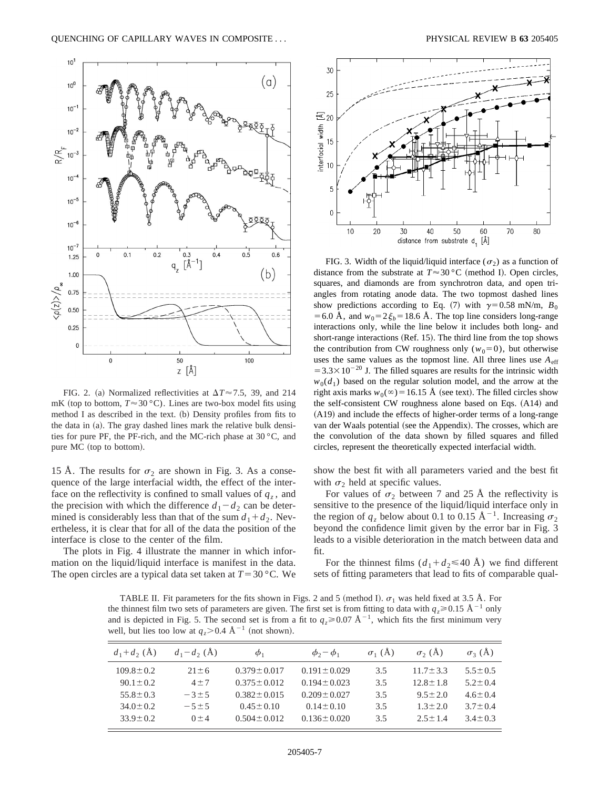

FIG. 2. (a) Normalized reflectivities at  $\Delta T \approx 7.5$ , 39, and 214 mK (top to bottom,  $T \approx 30 \degree C$ ). Lines are two-box model fits using method I as described in the text.  $(b)$  Density profiles from fits to the data in  $(a)$ . The gray dashed lines mark the relative bulk densities for pure PF, the PF-rich, and the MC-rich phase at 30 °C, and pure MC (top to bottom).

15 Å. The results for  $\sigma_2$  are shown in Fig. 3. As a consequence of the large interfacial width, the effect of the interface on the reflectivity is confined to small values of  $q_z$ , and the precision with which the difference  $d_1 - d_2$  can be determined is considerably less than that of the sum  $d_1 + d_2$ . Nevertheless, it is clear that for all of the data the position of the interface is close to the center of the film.

The plots in Fig. 4 illustrate the manner in which information on the liquid/liquid interface is manifest in the data. The open circles are a typical data set taken at  $T = 30$  °C. We



FIG. 3. Width of the liquid/liquid interface ( $\sigma_2$ ) as a function of distance from the substrate at  $T \approx 30 \degree C$  (method I). Open circles, squares, and diamonds are from synchrotron data, and open triangles from rotating anode data. The two topmost dashed lines show predictions according to Eq. (7) with  $\gamma=0.58$  mN/m,  $B_0$ = 6.0 Å, and  $w_0$ = 2 $\xi_b$ = 18.6 Å. The top line considers long-range interactions only, while the line below it includes both long- and short-range interactions  $(Ref. 15)$ . The third line from the top shows the contribution from CW roughness only  $(w_0=0)$ , but otherwise uses the same values as the topmost line. All three lines use  $A<sub>eff</sub>$  $=3.3\times10^{-20}$  J. The filled squares are results for the intrinsic width  $w_0(d_1)$  based on the regular solution model, and the arrow at the right axis marks  $w_0(\infty) = 16.15$  Å (see text). The filled circles show the self-consistent CW roughness alone based on Eqs.  $(A14)$  and  $(A19)$  and include the effects of higher-order terms of a long-range van der Waals potential (see the Appendix). The crosses, which are the convolution of the data shown by filled squares and filled circles, represent the theoretically expected interfacial width.

show the best fit with all parameters varied and the best fit with  $\sigma_2$  held at specific values.

For values of  $\sigma_2$  between 7 and 25 Å the reflectivity is sensitive to the presence of the liquid/liquid interface only in the region of  $q_z$  below about 0.1 to 0.15  $\AA^{-1}$ . Increasing  $\sigma_2$ beyond the confidence limit given by the error bar in Fig. 3 leads to a visible deterioration in the match between data and fit.

For the thinnest films  $(d_1 + d_2 \leq 40 \text{ Å})$  we find different sets of fitting parameters that lead to fits of comparable qual-

TABLE II. Fit parameters for the fits shown in Figs. 2 and 5 (method I).  $\sigma_1$  was held fixed at 3.5 Å. For the thinnest film two sets of parameters are given. The first set is from fitting to data with  $q_z \ge 0.15 \text{ Å}^{-1}$  only and is depicted in Fig. 5. The second set is from a fit to  $q_z \ge 0.07 \text{ Å}^{-1}$ , which fits the first minimum very well, but lies too low at  $q_7 > 0.4$  Å<sup>-1</sup> (not shown).

| $d_1 + d_2$ (A) | $d_1 - d_2$ (Å) | $\phi_1$          | $\phi_2 - \phi_1$ | $\sigma_1(A)$ | $\sigma_{2}$ (A) | $\sigma_3(A)$ |
|-----------------|-----------------|-------------------|-------------------|---------------|------------------|---------------|
| $109.8 \pm 0.2$ | $21 \pm 6$      | $0.379 \pm 0.017$ | $0.191 \pm 0.029$ | 3.5           | $11.7 + 3.3$     | $5.5 \pm 0.5$ |
| $90.1 \pm 0.2$  | $4 + 7$         | $0.375 \pm 0.012$ | $0.194 \pm 0.023$ | 3.5           | $12.8 + 1.8$     | $5.2 + 0.4$   |
| $55.8 \pm 0.3$  | $-3\pm 5$       | $0.382 + 0.015$   | $0.209 + 0.027$   | 3.5           | $9.5 + 2.0$      | $4.6 \pm 0.4$ |
| $34.0 + 0.2$    | $-5 \pm 5$      | $0.45 \pm 0.10$   | $0.14 \pm 0.10$   | 3.5           | $1.3 + 2.0$      | $3.7 + 0.4$   |
| $33.9 \pm 0.2$  | $0 + 4$         | $0.504 + 0.012$   | $0.136 \pm 0.020$ | 3.5           | $2.5 + 1.4$      | $3.4 + 0.3$   |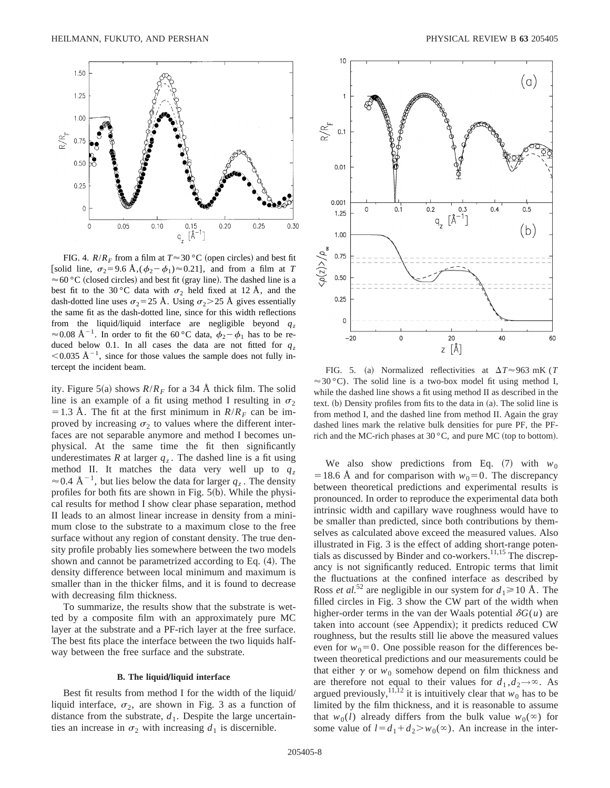

FIG. 4.  $R/R_F$  from a film at  $T \approx 30$  °C (open circles) and best fit [solid line,  $\sigma_2 = 9.6$  Å, $(\phi_2 - \phi_1) \approx 0.21$ ], and from a film at *T*  $\approx$  60  $^{\circ}$  C (closed circles) and best fit (gray line). The dashed line is a best fit to the 30 °C data with  $\sigma_2$  held fixed at 12 Å, and the dash-dotted line uses  $\sigma_2$ =25 Å. Using  $\sigma_2$ >25 Å gives essentially the same fit as the dash-dotted line, since for this width reflections from the liquid/liquid interface are negligible beyond  $q_z$  $\approx$  0.08 Å<sup>-1</sup>. In order to fit the 60 °C data,  $\phi_2 - \phi_1$  has to be reduced below 0.1. In all cases the data are not fitted for  $q_z$  $<$ 0.035 Å<sup>-1</sup>, since for those values the sample does not fully intercept the incident beam. FIG. 5. (a) Normalized reflectivities at  $\Delta T \approx 963$  mK (*T*)

ity. Figure 5(a) shows  $R/R_F$  for a 34 Å thick film. The solid line is an example of a fit using method I resulting in  $\sigma_2$ = 1.3 Å. The fit at the first minimum in  $R/R_F$  can be improved by increasing  $\sigma_2$  to values where the different interfaces are not separable anymore and method I becomes unphysical. At the same time the fit then significantly underestimates *R* at larger  $q_z$ . The dashed line is a fit using method II. It matches the data very well up to  $q_z$  $\approx$  0.4 Å<sup>-1</sup>, but lies below the data for larger  $q_z$ . The density profiles for both fits are shown in Fig.  $5(b)$ . While the physical results for method I show clear phase separation, method II leads to an almost linear increase in density from a minimum close to the substrate to a maximum close to the free surface without any region of constant density. The true density profile probably lies somewhere between the two models shown and cannot be parametrized according to Eq.  $(4)$ . The density difference between local minimum and maximum is smaller than in the thicker films, and it is found to decrease with decreasing film thickness.

To summarize, the results show that the substrate is wetted by a composite film with an approximately pure MC layer at the substrate and a PF-rich layer at the free surface. The best fits place the interface between the two liquids halfway between the free surface and the substrate.

## **B.** The liquid/liquid interface

Best fit results from method I for the width of the liquid/ liquid interface,  $\sigma_2$ , are shown in Fig. 3 as a function of distance from the substrate,  $d_1$ . Despite the large uncertainties an increase in  $\sigma_2$  with increasing  $d_1$  is discernible.



 $\approx$  30 °C). The solid line is a two-box model fit using method I, while the dashed line shows a fit using method II as described in the text.  $(b)$  Density profiles from fits to the data in  $(a)$ . The solid line is from method I, and the dashed line from method II. Again the gray dashed lines mark the relative bulk densities for pure PF, the PFrich and the MC-rich phases at  $30\,^{\circ}\text{C}$ , and pure MC (top to bottom).

We also show predictions from Eq.  $(7)$  with  $w_0$ = 18.6 Å and for comparison with  $w_0=0$ . The discrepancy between theoretical predictions and experimental results is pronounced. In order to reproduce the experimental data both intrinsic width and capillary wave roughness would have to be smaller than predicted, since both contributions by themselves as calculated above exceed the measured values. Also illustrated in Fig. 3 is the effect of adding short-range potentials as discussed by Binder and co-workers.<sup>11,15</sup> The discrepancy is not significantly reduced. Entropic terms that limit the fluctuations at the confined interface as described by Ross *et al.*<sup>52</sup> are negligible in our system for  $d_1 \ge 10$  Å. The filled circles in Fig. 3 show the CW part of the width when higher-order terms in the van der Waals potential  $\delta G(u)$  are taken into account (see Appendix); it predicts reduced CW roughness, but the results still lie above the measured values even for  $w_0=0$ . One possible reason for the differences between theoretical predictions and our measurements could be that either  $\gamma$  or  $w_0$  somehow depend on film thickness and are therefore not equal to their values for  $d_1, d_2 \rightarrow \infty$ . As argued previously,<sup>11,12</sup> it is intuitively clear that  $w_0$  has to be limited by the film thickness, and it is reasonable to assume that  $w_0(l)$  already differs from the bulk value  $w_0(\infty)$  for some value of  $l = d_1 + d_2 > w_0(\infty)$ . An increase in the inter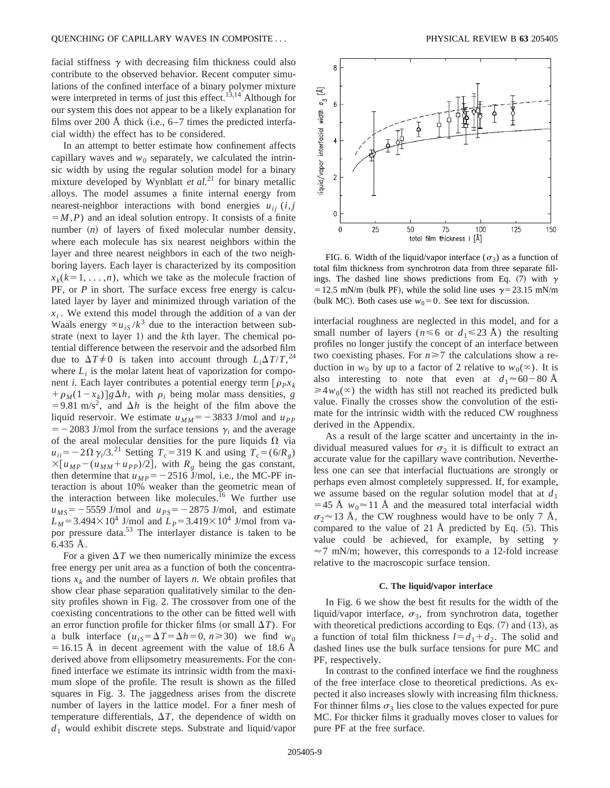facial stiffness  $\gamma$  with decreasing film thickness could also contribute to the observed behavior. Recent computer simulations of the confined interface of a binary polymer mixture were interpreted in terms of just this effect.<sup>13,14</sup> Although for our system this does not appear to be a likely explanation for films over 200 Å thick (i.e.,  $6-7$  times the predicted interfacial width) the effect has to be considered.

In an attempt to better estimate how confinement affects capillary waves and  $w_0$  separately, we calculated the intrinsic width by using the regular solution model for a binary mixture developed by Wynblatt  $et al.<sup>21</sup>$  for binary metallic alloys. The model assumes a finite internal energy from nearest-neighbor interactions with bond energies  $u_{ii}$  (*i*, *j*  $=M$ , *P*) and an ideal solution entropy. It consists of a finite number  $(n)$  of layers of fixed molecular number density, where each molecule has six nearest neighbors within the layer and three nearest neighbors in each of the two neighboring layers. Each layer is characterized by its composition  $x_k(k=1, \ldots, n)$ , which we take as the molecule fraction of PF, or *P* in short. The surface excess free energy is calculated layer by layer and minimized through variation of the  $x_i$ . We extend this model through the addition of a van der Waals energy  $\propto u_{iS}/k^3$  due to the interaction between substrate (next to layer 1) and the *k*th layer. The chemical potential difference between the reservoir and the adsorbed film due to  $\Delta T \neq 0$  is taken into account through  $L_i \Delta T/T$ , <sup>24</sup> where  $L_i$  is the molar latent heat of vaporization for component *i*. Each layer contributes a potential energy term  $[\rho_P x_k]$  $+\rho_M(1-x_k)$  *g* $\Delta h$ , with  $\rho_i$  being molar mass densities, *g* =9.81 m/s<sup>2</sup>, and  $\Delta h$  is the height of the film above the liquid reservoir. We estimate  $u_{MM} = -3833$  J/mol and  $u_{PP}$  $=$  -2083 J/mol from the surface tensions  $\gamma$ <sub>*i*</sub> and the average of the areal molecular densities for the pure liquids  $\Omega$  via  $u_{ii} = -2\Omega \gamma_i/3$ <sup>21</sup> Setting  $T_c = 319$  K and using  $T_c = (6/R_g)$  $\times [u_{MP} - (u_{MM} + u_{PP})/2],$  with  $R_g$  being the gas constant, then determine that  $u_{MP} = -2516$  J/mol, i.e., the MC-PF interaction is about 10% weaker than the geometric mean of the interaction between like molecules.<sup>16</sup> We further use  $u_{MS} = -5559$  J/mol and  $u_{PS} = -2875$  J/mol, and estimate  $L_M$ =3.494×10<sup>4</sup> J/mol and  $L_P$ =3.419×10<sup>4</sup> J/mol from vapor pressure data.<sup>53</sup> The interlayer distance is taken to be 6.435 Å.

For a given  $\Delta T$  we then numerically minimize the excess free energy per unit area as a function of both the concentrations  $x_k$  and the number of layers *n*. We obtain profiles that show clear phase separation qualitatively similar to the density profiles shown in Fig. 2. The crossover from one of the coexisting concentrations to the other can be fitted well with an error function profile for thicker films (or small  $\Delta T$ ). For a bulk interface  $(u_{is} = \Delta T = \Delta h = 0, n \ge 30)$  we find  $w_0$  $=16.15$  Å in decent agreement with the value of 18.6 Å derived above from ellipsometry measurements. For the confined interface we estimate its intrinsic width from the maximum slope of the profile. The result is shown as the filled squares in Fig. 3. The jaggedness arises from the discrete number of layers in the lattice model. For a finer mesh of temperature differentials,  $\Delta T$ , the dependence of width on *d*<sup>1</sup> would exhibit discrete steps. Substrate and liquid/vapor



FIG. 6. Width of the liquid/vapor interface ( $\sigma_3$ ) as a function of total film thickness from synchrotron data from three separate fillings. The dashed line shows predictions from Eq. (7) with  $\gamma$ = 12.5 mN/m (bulk PF), while the solid line uses  $\gamma$ =23.15 mN/m (bulk MC). Both cases use  $w_0=0$ . See text for discussion.

interfacial roughness are neglected in this model, and for a small number of layers ( $n \le 6$  or  $d_1 \le 23$  Å) the resulting profiles no longer justify the concept of an interface between two coexisting phases. For  $n \geq 7$  the calculations show a reduction in  $w_0$  by up to a factor of 2 relative to  $w_0(\infty)$ . It is also interesting to note that even at  $d_1 \approx 60-80$  Å  $\geq 4w_0(\infty)$  the width has still not reached its predicted bulk value. Finally the crosses show the convolution of the estimate for the intrinsic width with the reduced CW roughness derived in the Appendix.

As a result of the large scatter and uncertainty in the individual measured values for  $\sigma_2$  it is difficult to extract an accurate value for the capillary wave contribution. Nevertheless one can see that interfacial fluctuations are strongly or perhaps even almost completely suppressed. If, for example, we assume based on the regular solution model that at  $d_1$ =45 Å  $w_0 \approx 11$  Å and the measured total interfacial width  $\sigma_2 \approx 13$  Å, the CW roughness would have to be only 7 Å, compared to the value of 21 Å predicted by Eq.  $(5)$ . This value could be achieved, for example, by setting  $\gamma$  $\approx$  7 mN/m; however, this corresponds to a 12-fold increase relative to the macroscopic surface tension.

#### **C.** The liquid/vapor interface

In Fig. 6 we show the best fit results for the width of the liquid/vapor interface,  $\sigma_3$ , from synchrotron data, together with theoretical predictions according to Eqs.  $(7)$  and  $(13)$ , as a function of total film thickness  $l=d_1+d_2$ . The solid and dashed lines use the bulk surface tensions for pure MC and PF, respectively.

In contrast to the confined interface we find the roughness of the free interface close to theoretical predictions. As expected it also increases slowly with increasing film thickness. For thinner films  $\sigma_3$  lies close to the values expected for pure MC. For thicker films it gradually moves closer to values for pure PF at the free surface.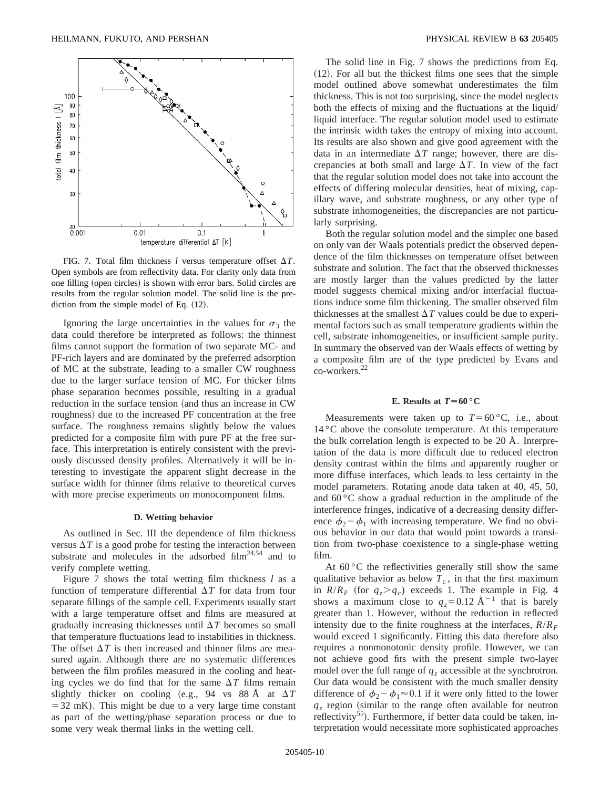

FIG. 7. Total film thickness  $l$  versus temperature offset  $\Delta T$ . Open symbols are from reflectivity data. For clarity only data from one filling (open circles) is shown with error bars. Solid circles are results from the regular solution model. The solid line is the prediction from the simple model of Eq.  $(12)$ .

Ignoring the large uncertainties in the values for  $\sigma_3$  the data could therefore be interpreted as follows: the thinnest films cannot support the formation of two separate MC- and PF-rich layers and are dominated by the preferred adsorption of MC at the substrate, leading to a smaller CW roughness due to the larger surface tension of MC. For thicker films phase separation becomes possible, resulting in a gradual reduction in the surface tension (and thus an increase in CW roughness) due to the increased PF concentration at the free surface. The roughness remains slightly below the values predicted for a composite film with pure PF at the free surface. This interpretation is entirely consistent with the previously discussed density profiles. Alternatively it will be interesting to investigate the apparent slight decrease in the surface width for thinner films relative to theoretical curves with more precise experiments on monocomponent films.

## **D. Wetting behavior**

As outlined in Sec. III the dependence of film thickness versus  $\Delta T$  is a good probe for testing the interaction between substrate and molecules in the adsorbed  $film<sup>24,54</sup>$  and to verify complete wetting.

Figure 7 shows the total wetting film thickness *l* as a function of temperature differential  $\Delta T$  for data from four separate fillings of the sample cell. Experiments usually start with a large temperature offset and films are measured at gradually increasing thicknesses until  $\Delta T$  becomes so small that temperature fluctuations lead to instabilities in thickness. The offset  $\Delta T$  is then increased and thinner films are measured again. Although there are no systematic differences between the film profiles measured in the cooling and heating cycles we do find that for the same  $\Delta T$  films remain slightly thicker on cooling  $(e.g., 94 \text{ vs } 88 \text{ Å at } \Delta T)$  $=32$  mK). This might be due to a very large time constant as part of the wetting/phase separation process or due to some very weak thermal links in the wetting cell.

The solid line in Fig. 7 shows the predictions from Eq.  $(12)$ . For all but the thickest films one sees that the simple model outlined above somewhat underestimates the film thickness. This is not too surprising, since the model neglects both the effects of mixing and the fluctuations at the liquid/ liquid interface. The regular solution model used to estimate the intrinsic width takes the entropy of mixing into account. Its results are also shown and give good agreement with the data in an intermediate  $\Delta T$  range; however, there are discrepancies at both small and large  $\Delta T$ . In view of the fact that the regular solution model does not take into account the effects of differing molecular densities, heat of mixing, capillary wave, and substrate roughness, or any other type of substrate inhomogeneities, the discrepancies are not particularly surprising.

Both the regular solution model and the simpler one based on only van der Waals potentials predict the observed dependence of the film thicknesses on temperature offset between substrate and solution. The fact that the observed thicknesses are mostly larger than the values predicted by the latter model suggests chemical mixing and/or interfacial fluctuations induce some film thickening. The smaller observed film thicknesses at the smallest  $\Delta T$  values could be due to experimental factors such as small temperature gradients within the cell, substrate inhomogeneities, or insufficient sample purity. In summary the observed van der Waals effects of wetting by a composite film are of the type predicted by Evans and co-workers.22

#### **E.** Results at  $T = 60$  °C

Measurements were taken up to  $T=60$  °C, i.e., about 14 °C above the consolute temperature. At this temperature the bulk correlation length is expected to be 20 Å. Interpretation of the data is more difficult due to reduced electron density contrast within the films and apparently rougher or more diffuse interfaces, which leads to less certainty in the model parameters. Rotating anode data taken at 40, 45, 50, and  $60^{\circ}$ C show a gradual reduction in the amplitude of the interference fringes, indicative of a decreasing density difference  $\phi_2 - \phi_1$  with increasing temperature. We find no obvious behavior in our data that would point towards a transition from two-phase coexistence to a single-phase wetting film.

At  $60^{\circ}$ C the reflectivities generally still show the same qualitative behavior as below  $T_c$ , in that the first maximum in  $R/R_F$  (for  $q_z > q_c$ ) exceeds 1. The example in Fig. 4 shows a maximum close to  $q_z=0.12 \text{ Å}^{-1}$  that is barely greater than 1. However, without the reduction in reflected intensity due to the finite roughness at the interfaces,  $R/R_F$ would exceed 1 significantly. Fitting this data therefore also requires a nonmonotonic density profile. However, we can not achieve good fits with the present simple two-layer model over the full range of  $q_z$  accessible at the synchrotron. Our data would be consistent with the much smaller density difference of  $\phi_2 - \phi_1 \approx 0.1$  if it were only fitted to the lower  $q_z$  region (similar to the range often available for neutron reflectivity<sup>55</sup>). Furthermore, if better data could be taken, interpretation would necessitate more sophisticated approaches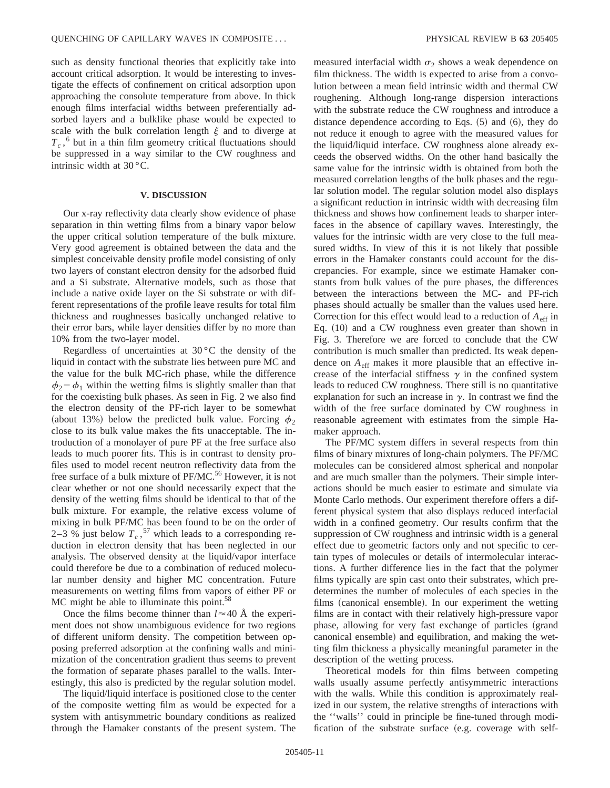such as density functional theories that explicitly take into account critical adsorption. It would be interesting to investigate the effects of confinement on critical adsorption upon approaching the consolute temperature from above. In thick enough films interfacial widths between preferentially adsorbed layers and a bulklike phase would be expected to scale with the bulk correlation length  $\xi$  and to diverge at  $T_c$ ,<sup>6</sup> but in a thin film geometry critical fluctuations should be suppressed in a way similar to the CW roughness and intrinsic width at 30 °C.

## **V. DISCUSSION**

Our x-ray reflectivity data clearly show evidence of phase separation in thin wetting films from a binary vapor below the upper critical solution temperature of the bulk mixture. Very good agreement is obtained between the data and the simplest conceivable density profile model consisting of only two layers of constant electron density for the adsorbed fluid and a Si substrate. Alternative models, such as those that include a native oxide layer on the Si substrate or with different representations of the profile leave results for total film thickness and roughnesses basically unchanged relative to their error bars, while layer densities differ by no more than 10% from the two-layer model.

Regardless of uncertainties at  $30^{\circ}$ C the density of the liquid in contact with the substrate lies between pure MC and the value for the bulk MC-rich phase, while the difference  $\phi_2 - \phi_1$  within the wetting films is slightly smaller than that for the coexisting bulk phases. As seen in Fig. 2 we also find the electron density of the PF-rich layer to be somewhat (about 13%) below the predicted bulk value. Forcing  $\phi_2$ close to its bulk value makes the fits unacceptable. The introduction of a monolayer of pure PF at the free surface also leads to much poorer fits. This is in contrast to density profiles used to model recent neutron reflectivity data from the free surface of a bulk mixture of PF/MC.<sup>56</sup> However, it is not clear whether or not one should necessarily expect that the density of the wetting films should be identical to that of the bulk mixture. For example, the relative excess volume of mixing in bulk PF/MC has been found to be on the order of 2–3  $\%$  just below  $T_c$ , <sup>57</sup> which leads to a corresponding reduction in electron density that has been neglected in our analysis. The observed density at the liquid/vapor interface could therefore be due to a combination of reduced molecular number density and higher MC concentration. Future measurements on wetting films from vapors of either PF or MC might be able to illuminate this point.<sup>58</sup>

Once the films become thinner than  $l \approx 40$  Å the experiment does not show unambiguous evidence for two regions of different uniform density. The competition between opposing preferred adsorption at the confining walls and minimization of the concentration gradient thus seems to prevent the formation of separate phases parallel to the walls. Interestingly, this also is predicted by the regular solution model.

The liquid/liquid interface is positioned close to the center of the composite wetting film as would be expected for a system with antisymmetric boundary conditions as realized through the Hamaker constants of the present system. The measured interfacial width  $\sigma_2$  shows a weak dependence on film thickness. The width is expected to arise from a convolution between a mean field intrinsic width and thermal CW roughening. Although long-range dispersion interactions with the substrate reduce the CW roughness and introduce a distance dependence according to Eqs.  $(5)$  and  $(6)$ , they do not reduce it enough to agree with the measured values for the liquid/liquid interface. CW roughness alone already exceeds the observed widths. On the other hand basically the same value for the intrinsic width is obtained from both the measured correlation lengths of the bulk phases and the regular solution model. The regular solution model also displays a significant reduction in intrinsic width with decreasing film thickness and shows how confinement leads to sharper interfaces in the absence of capillary waves. Interestingly, the values for the intrinsic width are very close to the full measured widths. In view of this it is not likely that possible errors in the Hamaker constants could account for the discrepancies. For example, since we estimate Hamaker constants from bulk values of the pure phases, the differences between the interactions between the MC- and PF-rich phases should actually be smaller than the values used here. Correction for this effect would lead to a reduction of  $A_{\text{eff}}$  in Eq.  $(10)$  and a CW roughness even greater than shown in Fig. 3. Therefore we are forced to conclude that the CW contribution is much smaller than predicted. Its weak dependence on *A*eff makes it more plausible that an effective increase of the interfacial stiffness  $\gamma$  in the confined system leads to reduced CW roughness. There still is no quantitative explanation for such an increase in  $\gamma$ . In contrast we find the width of the free surface dominated by CW roughness in reasonable agreement with estimates from the simple Hamaker approach.

The PF/MC system differs in several respects from thin films of binary mixtures of long-chain polymers. The PF/MC molecules can be considered almost spherical and nonpolar and are much smaller than the polymers. Their simple interactions should be much easier to estimate and simulate via Monte Carlo methods. Our experiment therefore offers a different physical system that also displays reduced interfacial width in a confined geometry. Our results confirm that the suppression of CW roughness and intrinsic width is a general effect due to geometric factors only and not specific to certain types of molecules or details of intermolecular interactions. A further difference lies in the fact that the polymer films typically are spin cast onto their substrates, which predetermines the number of molecules of each species in the films (canonical ensemble). In our experiment the wetting films are in contact with their relatively high-pressure vapor phase, allowing for very fast exchange of particles (grand canonical ensemble) and equilibration, and making the wetting film thickness a physically meaningful parameter in the description of the wetting process.

Theoretical models for thin films between competing walls usually assume perfectly antisymmetric interactions with the walls. While this condition is approximately realized in our system, the relative strengths of interactions with the ''walls'' could in principle be fine-tuned through modification of the substrate surface (e.g. coverage with self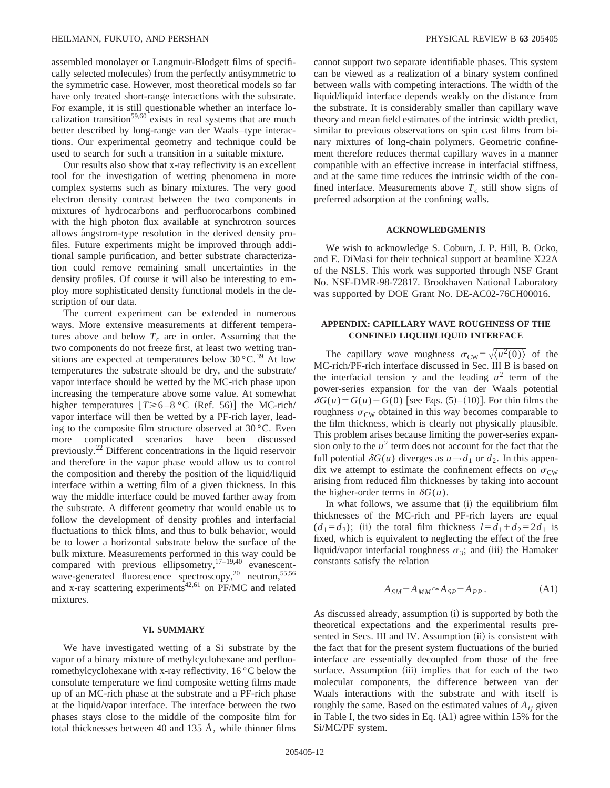assembled monolayer or Langmuir-Blodgett films of specifically selected molecules) from the perfectly antisymmetric to the symmetric case. However, most theoretical models so far have only treated short-range interactions with the substrate. For example, it is still questionable whether an interface localization transition<sup>59,60</sup> exists in real systems that are much better described by long-range van der Waals–type interactions. Our experimental geometry and technique could be used to search for such a transition in a suitable mixture.

Our results also show that x-ray reflectivity is an excellent tool for the investigation of wetting phenomena in more complex systems such as binary mixtures. The very good electron density contrast between the two components in mixtures of hydrocarbons and perfluorocarbons combined with the high photon flux available at synchrotron sources allows angstrom-type resolution in the derived density profiles. Future experiments might be improved through additional sample purification, and better substrate characterization could remove remaining small uncertainties in the density profiles. Of course it will also be interesting to employ more sophisticated density functional models in the description of our data.

The current experiment can be extended in numerous ways. More extensive measurements at different temperatures above and below  $T_c$  are in order. Assuming that the two components do not freeze first, at least two wetting transitions are expected at temperatures below  $30^{\circ}$ C.<sup>39</sup> At low temperatures the substrate should be dry, and the substrate/ vapor interface should be wetted by the MC-rich phase upon increasing the temperature above some value. At somewhat higher temperatures  $[T \ge 6-8 \degree C$  (Ref. 56)] the MC-rich/ vapor interface will then be wetted by a PF-rich layer, leading to the composite film structure observed at 30 °C. Even more complicated scenarios have been discussed previously.<sup>22</sup> Different concentrations in the liquid reservoir and therefore in the vapor phase would allow us to control the composition and thereby the position of the liquid/liquid interface within a wetting film of a given thickness. In this way the middle interface could be moved farther away from the substrate. A different geometry that would enable us to follow the development of density profiles and interfacial fluctuations to thick films, and thus to bulk behavior, would be to lower a horizontal substrate below the surface of the bulk mixture. Measurements performed in this way could be compared with previous ellipsometry,  $17-19,40$  evanescentwave-generated fluorescence spectroscopy,<sup>20</sup> neutron,<sup>55,56</sup> and x-ray scattering experiments<sup>42,61</sup> on PF/MC and related mixtures.

#### **VI. SUMMARY**

We have investigated wetting of a Si substrate by the vapor of a binary mixture of methylcyclohexane and perfluoromethylcyclohexane with x-ray reflectivity. 16 °C below the consolute temperature we find composite wetting films made up of an MC-rich phase at the substrate and a PF-rich phase at the liquid/vapor interface. The interface between the two phases stays close to the middle of the composite film for total thicknesses between 40 and 135  $\AA$ , while thinner films cannot support two separate identifiable phases. This system can be viewed as a realization of a binary system confined between walls with competing interactions. The width of the liquid/liquid interface depends weakly on the distance from the substrate. It is considerably smaller than capillary wave theory and mean field estimates of the intrinsic width predict, similar to previous observations on spin cast films from binary mixtures of long-chain polymers. Geometric confinement therefore reduces thermal capillary waves in a manner compatible with an effective increase in interfacial stiffness, and at the same time reduces the intrinsic width of the confined interface. Measurements above  $T_c$  still show signs of preferred adsorption at the confining walls.

## **ACKNOWLEDGMENTS**

We wish to acknowledge S. Coburn, J. P. Hill, B. Ocko, and E. DiMasi for their technical support at beamline X22A of the NSLS. This work was supported through NSF Grant No. NSF-DMR-98-72817. Brookhaven National Laboratory was supported by DOE Grant No. DE-AC02-76CH00016.

## **APPENDIX: CAPILLARY WAVE ROUGHNESS OF THE CONFINED LIQUID/LIQUID INTERFACE**

The capillary wave roughness  $\sigma_{\text{CW}} = \sqrt{\langle u^2(0) \rangle}$  of the MC-rich/PF-rich interface discussed in Sec. III B is based on the interfacial tension  $\gamma$  and the leading  $u^2$  term of the power-series expansion for the van der Waals potential  $\delta G(u) = G(u) - G(0)$  [see Eqs. (5)–(10)]. For thin films the roughness  $\sigma_{\rm CW}$  obtained in this way becomes comparable to the film thickness, which is clearly not physically plausible. This problem arises because limiting the power-series expansion only to the  $u^2$  term does not account for the fact that the full potential  $\delta G(u)$  diverges as  $u \rightarrow d_1$  or  $d_2$ . In this appendix we attempt to estimate the confinement effects on  $\sigma_{\text{cw}}$ arising from reduced film thicknesses by taking into account the higher-order terms in  $\delta G(u)$ .

In what follows, we assume that  $(i)$  the equilibrium film thicknesses of the MC-rich and PF-rich layers are equal  $(d_1 = d_2)$ ; (ii) the total film thickness  $l = d_1 + d_2 = 2d_1$  is fixed, which is equivalent to neglecting the effect of the free liquid/vapor interfacial roughness  $\sigma_3$ ; and (iii) the Hamaker constants satisfy the relation

$$
A_{SM} - A_{MM} \approx A_{SP} - A_{PP}. \tag{A1}
$$

As discussed already, assumption (i) is supported by both the theoretical expectations and the experimental results presented in Secs. III and IV. Assumption (ii) is consistent with the fact that for the present system fluctuations of the buried interface are essentially decoupled from those of the free surface. Assumption (iii) implies that for each of the two molecular components, the difference between van der Waals interactions with the substrate and with itself is roughly the same. Based on the estimated values of  $A_{ij}$  given in Table I, the two sides in Eq.  $(A1)$  agree within 15% for the Si/MC/PF system.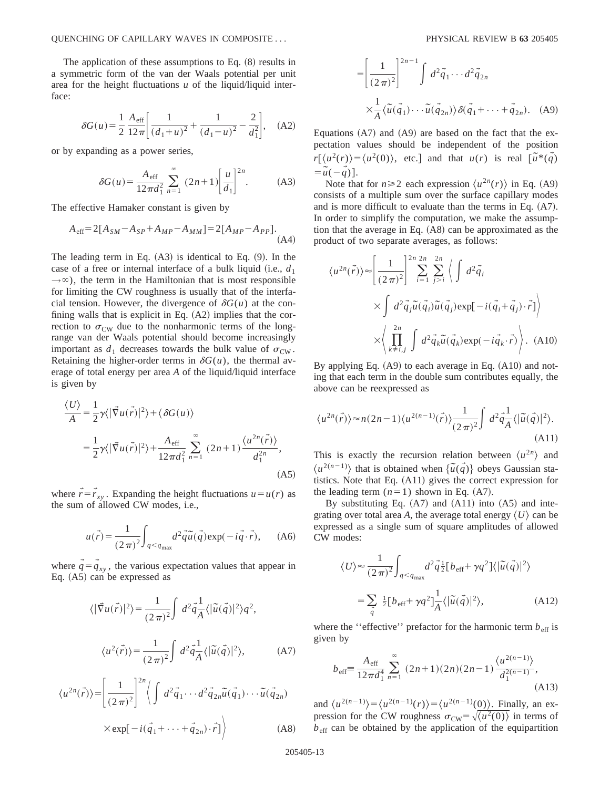The application of these assumptions to Eq.  $(8)$  results in a symmetric form of the van der Waals potential per unit area for the height fluctuations *u* of the liquid/liquid interface:

$$
\delta G(u) = \frac{1}{2} \frac{A_{\text{eff}}}{12\pi} \left[ \frac{1}{(d_1 + u)^2} + \frac{1}{(d_1 - u)^2} - \frac{2}{d_1^2} \right], \quad \text{(A2)}
$$

or by expanding as a power series,

$$
\delta G(u) = \frac{A_{\text{eff}}}{12\pi d_1^2} \sum_{n=1}^{\infty} (2n+1) \left[ \frac{u}{d_1} \right]^{2n} .
$$
 (A3)

The effective Hamaker constant is given by

$$
A_{\text{eff}} = 2[A_{SM} - A_{SP} + A_{MP} - A_{MM}] = 2[A_{MP} - A_{PP}].
$$
\n(A4)

The leading term in Eq.  $(A3)$  is identical to Eq.  $(9)$ . In the case of a free or internal interface of a bulk liquid (i.e.,  $d_1$ )  $\rightarrow \infty$ ), the term in the Hamiltonian that is most responsible for limiting the CW roughness is usually that of the interfacial tension. However, the divergence of  $\delta G(u)$  at the confining walls that is explicit in Eq.  $(A2)$  implies that the correction to  $\sigma_{\text{CW}}$  due to the nonharmonic terms of the longrange van der Waals potential should become increasingly important as  $d_1$  decreases towards the bulk value of  $\sigma_{\text{CW}}$ . Retaining the higher-order terms in  $\delta G(u)$ , the thermal average of total energy per area *A* of the liquid/liquid interface is given by

$$
\frac{\langle U \rangle}{A} = \frac{1}{2} \gamma \langle |\vec{\nabla} u(\vec{r})|^2 \rangle + \langle \delta G(u) \rangle
$$
  

$$
= \frac{1}{2} \gamma \langle |\vec{\nabla} u(\vec{r})|^2 \rangle + \frac{A_{\text{eff}}}{12 \pi d_1^2} \sum_{n=1}^{\infty} (2n+1) \frac{\langle u^{2n}(\vec{r}) \rangle}{d_1^{2n}},
$$
(A5)

where  $\vec{r} = \vec{r}_{xy}$ . Expanding the height fluctuations  $u = u(r)$  as the sum of allowed CW modes, i.e.,

$$
u(\vec{r}) = \frac{1}{(2\pi)^2} \int_{q < q_{\text{max}}} d^2 \vec{q} \,\vec{u}(\vec{q}) \exp(-i\vec{q} \cdot \vec{r}), \qquad (A6)
$$

where  $q = q_{xy}$ , the various expectation values that appear in Eq.  $(A5)$  can be expressed as

$$
\langle |\vec{\nabla} u(\vec{r})|^2 \rangle = \frac{1}{(2\pi)^2} \int d^2 \vec{q} \frac{d^2}{A} \langle |\tilde{u}(\vec{q})|^2 \rangle q^2,
$$
  

$$
\langle u^2(\vec{r}) \rangle = \frac{1}{(2\pi)^2} \int d^2 \vec{q} \frac{d^2}{A} \langle |\tilde{u}(\vec{q})|^2 \rangle,
$$
 (A7)

$$
\langle u^{2n}(\vec{r})\rangle = \left[\frac{1}{(2\pi)^2}\right]^{2n} \left\langle \int d^2\vec{q}_1 \cdots d^2\vec{q}_{2n}\tilde{u}(\vec{q}_1) \cdots \tilde{u}(\vec{q}_{2n}) \right\rangle
$$
  
× $\exp[-i(\vec{q}_1 + \cdots + \vec{q}_{2n}) \cdot \vec{r}] \right\rangle$  (A8)

$$
= \left[\frac{1}{(2\pi)^2}\right]^{2n-1} \int d^2 \vec{q}_1 \cdots d^2 \vec{q}_{2n}
$$
  
 
$$
\times \frac{1}{A} \langle \tilde{u}(\vec{q}_1) \cdots \tilde{u}(\vec{q}_{2n}) \rangle \delta(\vec{q}_1 + \cdots + \vec{q}_{2n}). \quad (A9)
$$

Equations  $(A7)$  and  $(A9)$  are based on the fact that the expectation values should be independent of the position  $r[(u^2(r))=(u^2(0))$ , etc.] and that  $u(r)$  is real  $[\tilde{u}^*(\tilde{q})]$  $=\tilde{u}(-\tilde{q})$ .

Note that for  $n \ge 2$  each expression  $\langle u^{2n}(r) \rangle$  in Eq. (A9) consists of a multiple sum over the surface capillary modes and is more difficult to evaluate than the terms in Eq.  $(A7)$ . In order to simplify the computation, we make the assumption that the average in Eq.  $(A8)$  can be approximated as the product of two separate averages, as follows:

$$
\langle u^{2n}(\vec{r})\rangle \approx \left[\frac{1}{(2\pi)^2}\right]^{2n} \sum_{i=1}^{2n} \sum_{j>i}^{2n} \left\langle \int d^2 \vec{q}_i
$$

$$
\times \int d^2 \vec{q}_j \tilde{u}(\vec{q}_i) \tilde{u}(\vec{q}_j) \exp[-i(\vec{q}_i + \vec{q}_j) \cdot \vec{r}] \right\rangle
$$

$$
\times \left\langle \prod_{k \neq i,j}^{2n} \int d^2 \vec{q}_k \tilde{u}(\vec{q}_k) \exp(-i\vec{q}_k \cdot \vec{r}) \right\rangle. (A10)
$$

By applying Eq.  $(A9)$  to each average in Eq.  $(A10)$  and noting that each term in the double sum contributes equally, the above can be reexpressed as

$$
\langle u^{2n}(\vec{r})\rangle \approx n(2n-1)\langle u^{2(n-1)}(\vec{r})\rangle \frac{1}{(2\pi)^2} \int d^2\vec{q} \frac{1}{A} \langle |\tilde{u}(\vec{q})|^2 \rangle.
$$
\n(A11)

This is exactly the recursion relation between  $\langle u^{2n} \rangle$  and  $\langle u^{2(n-1)} \rangle$  that is obtained when  $\{\tilde{u}(\vec{q})\}$  obeys Gaussian statistics. Note that Eq.  $(A11)$  gives the correct expression for the leading term  $(n=1)$  shown in Eq.  $(A7)$ .

By substituting Eq.  $(A7)$  and  $(A11)$  into  $(A5)$  and integrating over total area *A*, the average total energy  $\langle U \rangle$  can be expressed as a single sum of square amplitudes of allowed CW modes:

$$
\langle U \rangle \approx \frac{1}{(2\pi)^2} \int_{q < q_{\text{max}}} d^2 \vec{q} \, \frac{1}{2} [b_{\text{eff}} + \gamma q^2] \langle |\tilde{u}(\vec{q})|^2 \rangle
$$
\n
$$
= \sum_{\vec{q}} \frac{1}{2} [b_{\text{eff}} + \gamma q^2] \frac{1}{A} \langle |\tilde{u}(\vec{q})|^2 \rangle, \tag{A12}
$$

where the "effective" prefactor for the harmonic term  $b_{\text{eff}}$  is given by

$$
b_{\text{eff}} \equiv \frac{A_{\text{eff}}}{12\pi d_1^4} \sum_{n=1}^{\infty} (2n+1)(2n)(2n-1) \frac{\langle u^{2(n-1)} \rangle}{d_1^{2(n-1)}},
$$
\n(A13)

and  $\langle u^{2(n-1)} \rangle = \langle u^{2(n-1)}(r) \rangle = \langle u^{2(n-1)}(0) \rangle$ . Finally, an expression for the CW roughness  $\sigma_{\text{CW}} = \sqrt{\langle u^2(0) \rangle}$  in terms of  $b_{\text{eff}}$  can be obtained by the application of the equipartition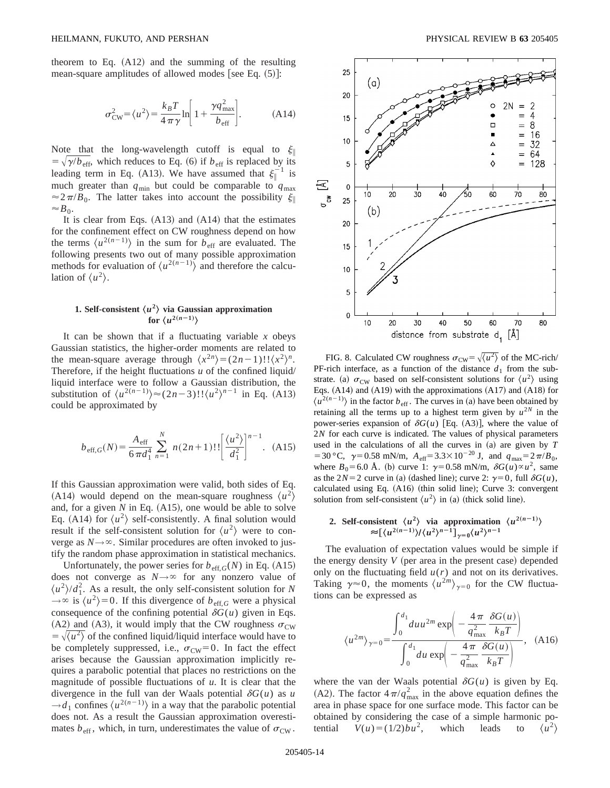theorem to Eq.  $(A12)$  and the summing of the resulting mean-square amplitudes of allowed modes [see Eq.  $(5)$ ]:

$$
\sigma_{\rm CW}^2 = \langle u^2 \rangle = \frac{k_B T}{4 \pi \gamma} \ln \left[ 1 + \frac{\gamma q_{\rm max}^2}{b_{\rm eff}} \right].
$$
 (A14)

Note that the long-wavelength cutoff is equal to  $\xi$  $= \sqrt{\gamma/b_{\text{eff}}}$ , which reduces to Eq. (6) if  $b_{\text{eff}}$  is replaced by its leading term in Eq. (A13). We have assumed that  $\xi_{\parallel}^{-1}$  is much greater than  $q_{min}$  but could be comparable to  $q_{max}$  $\approx 2\pi/B_0$ . The latter takes into account the possibility  $\xi$  $\approx B_0$ .

It is clear from Eqs.  $(A13)$  and  $(A14)$  that the estimates for the confinement effect on CW roughness depend on how the terms  $\langle u^{2(n-1)} \rangle$  in the sum for  $b_{\text{eff}}$  are evaluated. The following presents two out of many possible approximation methods for evaluation of  $\langle u^{2(n-1)} \rangle$  and therefore the calculation of  $\langle u^2 \rangle$ .

# **1. Self-consistent**  $\langle u^2 \rangle$  via Gaussian approximation **for**  $\langle u^{2(n-1)} \rangle$

It can be shown that if a fluctuating variable  $x$  obeys Gaussian statistics, the higher-order moments are related to the mean-square average through  $\langle x^{2n} \rangle = (2n-1)!! \langle x^2 \rangle^n$ . Therefore, if the height fluctuations *u* of the confined liquid/ liquid interface were to follow a Gaussian distribution, the substitution of  $\langle u^{2(n-1)} \rangle \approx (2n-3)!! \langle u^2 \rangle^{n-1}$  in Eq. (A13) could be approximated by

$$
b_{\text{eff},G}(N) = \frac{A_{\text{eff}}}{6\pi d_1^4} \sum_{n=1}^{N} n(2n+1)!! \left[ \frac{\langle u^2 \rangle}{d_1^2} \right]^{n-1} .
$$
 (A15)

If this Gaussian approximation were valid, both sides of Eq. (A14) would depend on the mean-square roughness  $\langle u^2 \rangle$ and, for a given  $N$  in Eq.  $(A15)$ , one would be able to solve Eq. (A14) for  $\langle u^2 \rangle$  self-consistently. A final solution would result if the self-consistent solution for  $\langle u^2 \rangle$  were to converge as  $N \rightarrow \infty$ . Similar procedures are often invoked to justify the random phase approximation in statistical mechanics.

Unfortunately, the power series for  $b_{\text{eff},G}(N)$  in Eq. (A15) does not converge as  $N \rightarrow \infty$  for any nonzero value of  $\langle u^2 \rangle / d_1^2$ . As a result, the only self-consistent solution for *N*  $\rightarrow \infty$  is  $\langle u^2 \rangle = 0$ . If this divergence of  $b_{\text{eff},G}$  were a physical consequence of the confining potential  $\delta G(u)$  given in Eqs. (A2) and (A3), it would imply that the CW roughness  $\sigma_{\text{CW}}$  $=\sqrt{\langle u^2 \rangle}$  of the confined liquid/liquid interface would have to be completely suppressed, i.e.,  $\sigma_{\text{CW}}=0$ . In fact the effect arises because the Gaussian approximation implicitly requires a parabolic potential that places no restrictions on the magnitude of possible fluctuations of *u*. It is clear that the divergence in the full van der Waals potential  $\delta G(u)$  as *u*  $\rightarrow d_1$  confines  $\langle u^{2(n-1)} \rangle$  in a way that the parabolic potential does not. As a result the Gaussian approximation overestimates  $b_{\text{eff}}$ , which, in turn, underestimates the value of  $\sigma_{\text{CW}}$ .



FIG. 8. Calculated CW roughness  $\sigma_{\text{CW}} = \sqrt{\langle u^2 \rangle}$  of the MC-rich/ PF-rich interface, as a function of the distance  $d_1$  from the substrate. (a)  $\sigma_{CW}$  based on self-consistent solutions for  $\langle u^2 \rangle$  using Eqs.  $(A14)$  and  $(A19)$  with the approximations  $(A17)$  and  $(A18)$  for  $\langle u^{2(n-1)} \rangle$  in the factor  $b_{\text{eff}}$ . The curves in (a) have been obtained by retaining all the terms up to a highest term given by  $u^{2N}$  in the power-series expansion of  $\delta G(u)$  [Eq. (A3)], where the value of 2*N* for each curve is indicated. The values of physical parameters used in the calculations of all the curves in  $(a)$  are given by  $T$ = 30 °C,  $\gamma$ = 0.58 mN/m,  $A_{\text{eff}}$ = 3.3×10<sup>-20</sup> J, and  $q_{\text{max}}$ = 2 $\pi/B_0$ , where  $B_0$ =6.0 Å. (b) curve 1:  $\gamma$ =0.58 mN/m,  $\delta G(u) \propto u^2$ , same as the 2*N*=2 curve in (a) (dashed line); curve 2:  $\gamma=0$ , full  $\delta G(u)$ , calculated using Eq.  $(A16)$  (thin solid line); Curve 3: convergent solution from self-consistent  $\langle u^2 \rangle$  in (a) (thick solid line).

2. Self-consistent 
$$
\langle u^2 \rangle
$$
 via approximation  $\langle u^{2(n-1)} \rangle$   
\n $\approx [\langle u^{2(n-1)} \rangle / \langle u^2 \rangle^{n-1}]_{\gamma=0} \langle u^2 \rangle^{n-1}$ 

The evaluation of expectation values would be simple if the energy density  $V$  (per area in the present case) depended only on the fluctuating field  $u(r)$  and not on its derivatives. Taking  $\gamma \approx 0$ , the moments  $\langle u^{2m} \rangle_{\gamma=0}$  for the CW fluctuations can be expressed as

$$
\langle u^{2m} \rangle_{\gamma=0} = \frac{\int_0^{d_1} du u^{2m} \exp\left(-\frac{4\pi}{q_{\text{max}}^2} \frac{\delta G(u)}{k_B T}\right)}{\int_0^{d_1} du \exp\left(-\frac{4\pi}{q_{\text{max}}^2} \frac{\delta G(u)}{k_B T}\right)}, \quad (A16)
$$

where the van der Waals potential  $\delta G(u)$  is given by Eq. (A2). The factor  $4\pi/q_{\text{max}}^2$  in the above equation defines the area in phase space for one surface mode. This factor can be obtained by considering the case of a simple harmonic potential  $V(u) = (1/2)bu^2$ , which leads to  $\langle u^2 \rangle$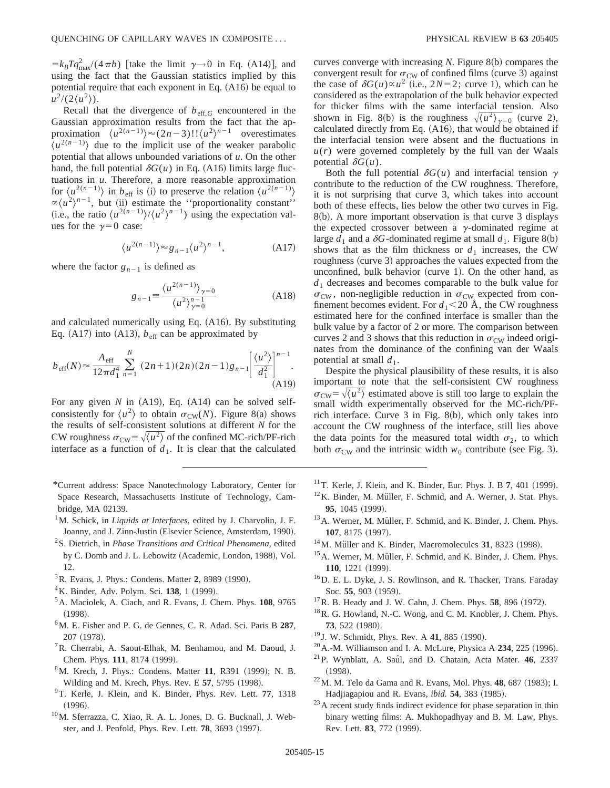$=k_B T q_{\text{max}}^2/(4 \pi b)$  [take the limit  $\gamma \rightarrow 0$  in Eq. (A14)], and using the fact that the Gaussian statistics implied by this potential require that each exponent in Eq.  $(A16)$  be equal to  $u^2/(2\langle u^2 \rangle)$ .

Recall that the divergence of  $b_{\text{eff},G}$  encountered in the Gaussian approximation results from the fact that the approximation  $\langle u^{2(n-1)} \rangle \approx (2n-3)! \langle u^2 \rangle^{n-1}$  overestimates  $\langle u^{2(n-1)} \rangle$  due to the implicit use of the weaker parabolic potential that allows unbounded variations of *u*. On the other hand, the full potential  $\delta G(u)$  in Eq. (A16) limits large fluctuations in *u*. Therefore, a more reasonable approximation for  $\langle u^{2(n-1)} \rangle$  in  $b_{\text{eff}}$  is (i) to preserve the relation  $\langle u^{2(n-1)} \rangle$  $\propto \langle u^2 \rangle^{n-1}$ , but (ii) estimate the "proportionality constant" (i.e., the ratio  $\langle u^{2(n-1)} \rangle / \langle u^2 \rangle^{n-1}$ ) using the expectation values for the  $v=0$  case:

$$
\langle u^{2(n-1)} \rangle \approx g_{n-1} \langle u^2 \rangle^{n-1}, \tag{A17}
$$

where the factor  $g_{n-1}$  is defined as

$$
g_{n-1} \equiv \frac{\langle u^{2(n-1)} \rangle_{\gamma=0}}{\langle u^2 \rangle_{\gamma=0}^{n-1}}
$$
(A18)

and calculated numerically using Eq.  $(A16)$ . By substituting Eq. (A17) into (A13),  $b_{\text{eff}}$  can be approximated by

$$
b_{\text{eff}}(N) \approx \frac{A_{\text{eff}}}{12\pi d_1^4} \sum_{n=1}^{N} (2n+1)(2n)(2n-1)g_{n-1} \left[ \frac{\langle u^2 \rangle}{d_1^2} \right]^{n-1}.
$$
\n(A19)

For any given  $N$  in  $(A19)$ , Eq.  $(A14)$  can be solved selfconsistently for  $\langle u^2 \rangle$  to obtain  $\sigma_{CW}(N)$ . Figure 8(a) shows the results of self-consistent solutions at different *N* for the CW roughness  $\sigma_{\text{CW}} = \sqrt{\langle u^2 \rangle}$  of the confined MC-rich/PF-rich interface as a function of  $d_1$ . It is clear that the calculated

- \*Current address: Space Nanotechnology Laboratory, Center for Space Research, Massachusetts Institute of Technology, Cambridge, MA 02139.
- <sup>1</sup>M. Schick, in *Liquids at Interfaces*, edited by J. Charvolin, J. F. Joanny, and J. Zinn-Justin (Elsevier Science, Amsterdam, 1990).
- 2S. Dietrich, in *Phase Transitions and Critical Phenomena*, edited by C. Domb and J. L. Lebowitz (Academic, London, 1988), Vol. 12.
- <sup>3</sup> R. Evans, J. Phys.: Condens. Matter 2, 8989 (1990).
- ${}^{4}$ K. Binder, Adv. Polym. Sci. 138, 1 (1999).
- 5A. Maciolek, A. Ciach, and R. Evans, J. Chem. Phys. **108**, 9765  $(1998).$
- 6M. E. Fisher and P. G. de Gennes, C. R. Adad. Sci. Paris B **287**, 207 (1978).
- 7R. Cherrabi, A. Saout-Elhak, M. Benhamou, and M. Daoud, J. Chem. Phys. 111, 8174 (1999).
- <sup>8</sup>M. Krech, J. Phys.: Condens. Matter 11, R391 (1999); N. B. Wilding and M. Krech, Phys. Rev. E 57, 5795 (1998).
- 9T. Kerle, J. Klein, and K. Binder, Phys. Rev. Lett. **77**, 1318  $(1996).$
- 10M. Sferrazza, C. Xiao, R. A. L. Jones, D. G. Bucknall, J. Webster, and J. Penfold, Phys. Rev. Lett. **78**, 3693 (1997).

curves converge with increasing  $N$ . Figure  $8(b)$  compares the convergent result for  $\sigma_{\rm CW}$  of confined films (curve 3) against the case of  $\delta G(u) \propto u^2$  (i.e.,  $2N=2$ ; curve 1), which can be considered as the extrapolation of the bulk behavior expected for thicker films with the same interfacial tension. Also shown in Fig. 8(b) is the roughness  $\sqrt{\langle u^2 \rangle_{\gamma=0}}$  (curve 2), calculated directly from Eq.  $(A16)$ , that would be obtained if the interfacial tension were absent and the fluctuations in  $u(r)$  were governed completely by the full van der Waals potential  $\delta G(u)$ .

Both the full potential  $\delta G(u)$  and interfacial tension  $\gamma$ contribute to the reduction of the CW roughness. Therefore, it is not surprising that curve 3, which takes into account both of these effects, lies below the other two curves in Fig.  $8(b)$ . A more important observation is that curve 3 displays the expected crossover between a  $\gamma$ -dominated regime at large  $d_1$  and a  $\delta G$ -dominated regime at small  $d_1$ . Figure 8(b) shows that as the film thickness or  $d_1$  increases, the CW roughness (curve 3) approaches the values expected from the unconfined, bulk behavior (curve  $1$ ). On the other hand, as *d*<sup>1</sup> decreases and becomes comparable to the bulk value for  $\sigma_{\text{CW}}$ , non-negligible reduction in  $\sigma_{\text{CW}}$  expected from confinement becomes evident. For  $d_1 < 20$  Å, the CW roughness estimated here for the confined interface is smaller than the bulk value by a factor of 2 or more. The comparison between curves 2 and 3 shows that this reduction in  $\sigma_{\rm CW}$  indeed originates from the dominance of the confining van der Waals potential at small  $d_1$ .

Despite the physical plausibility of these results, it is also important to note that the self-consistent CW roughness  $\sigma_{\text{CW}} = \sqrt{\langle u^2 \rangle}$  estimated above is still too large to explain the small width experimentally observed for the MC-rich/PFrich interface. Curve  $3$  in Fig. 8(b), which only takes into account the CW roughness of the interface, still lies above the data points for the measured total width  $\sigma_2$ , to which both  $\sigma_{\rm CW}$  and the intrinsic width  $w_0$  contribute (see Fig. 3).

- $11$ T. Kerle, J. Klein, and K. Binder, Eur. Phys. J. B 7, 401 (1999).
- $12$ K. Binder, M. Müller, F. Schmid, and A. Werner, J. Stat. Phys. 95, 1045 (1999).
- <sup>13</sup> A. Werner, M. Müller, F. Schmid, and K. Binder, J. Chem. Phys. **107.** 8175 (1997).
- $14$ M. Müller and K. Binder, Macromolecules 31, 8323 (1998).
- <sup>15</sup>A. Werner, M. Müller, F. Schmid, and K. Binder, J. Chem. Phys. 110, 1221 (1999).
- 16D. E. L. Dyke, J. S. Rowlinson, and R. Thacker, Trans. Faraday Soc. 55, 903 (1959).
- $17$ R. B. Heady and J. W. Cahn, J. Chem. Phys. 58, 896  $(1972)$ .
- <sup>18</sup>R. G. Howland, N.-C. Wong, and C. M. Knobler, J. Chem. Phys. **73**, 522 (1980).
- <sup>19</sup> J. W. Schmidt, Phys. Rev. A **41**, 885 (1990).
- $^{20}$ A.-M. Williamson and I. A. McLure, Physica A  $234$ , 225 (1996).
- <sup>21</sup>P. Wynblatt, A. Saúl, and D. Chatain, Acta Mater. **46**, 2337  $(1998).$
- $^{22}$ M. M. Telo da Gama and R. Evans, Mol. Phys. 48, 687 (1983); I. Hadjiagapiou and R. Evans, *ibid.* **54**, 383 (1985).
- <sup>23</sup> A recent study finds indirect evidence for phase separation in thin binary wetting films: A. Mukhopadhyay and B. M. Law, Phys. Rev. Lett. **83**, 772 (1999).